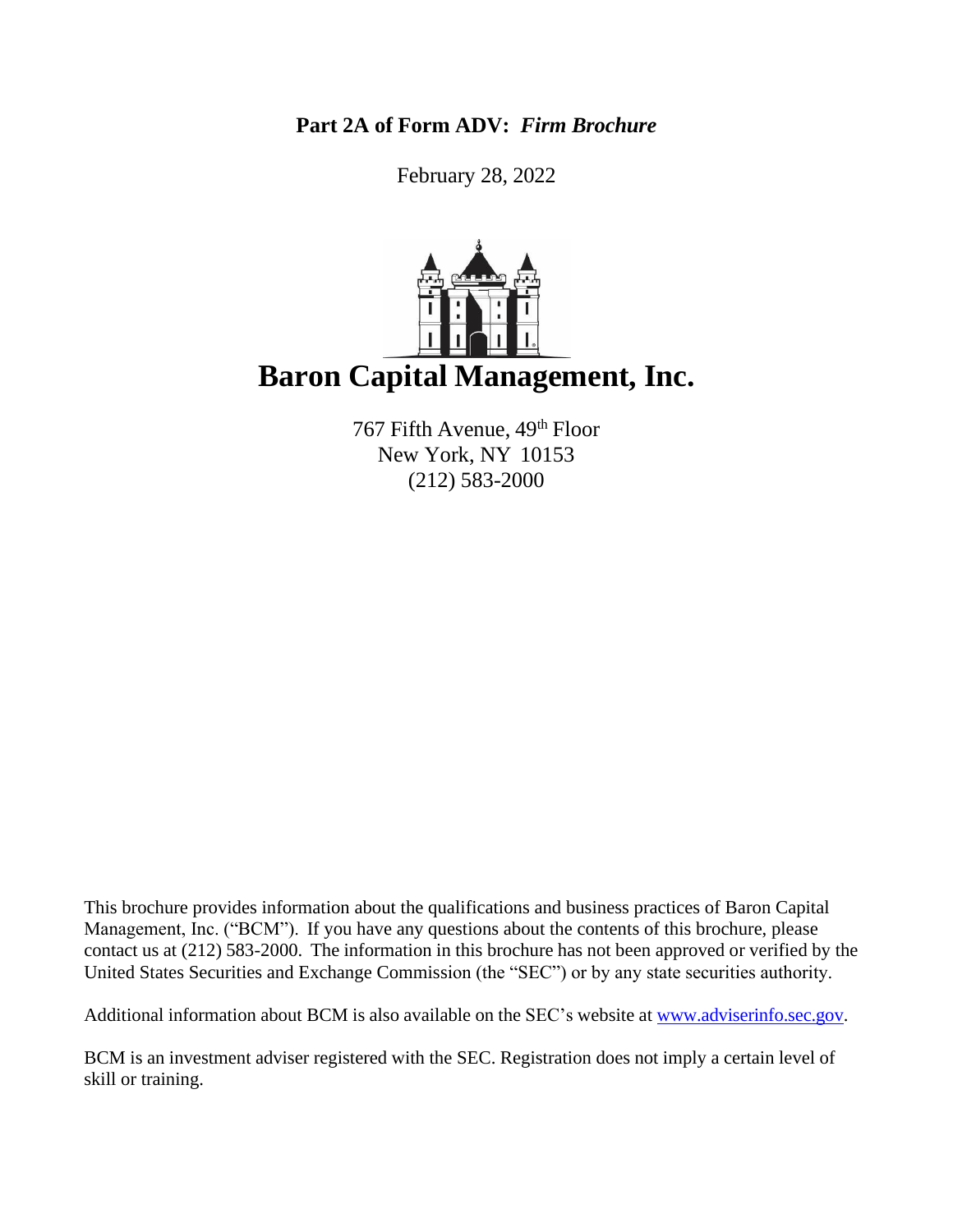**Part 2A of Form ADV:** *Firm Brochure*

February 28, 2022



767 Fifth Avenue, 49<sup>th</sup> Floor New York, NY 10153 (212) 583-2000

This brochure provides information about the qualifications and business practices of Baron Capital Management, Inc. ("BCM"). If you have any questions about the contents of this brochure, please contact us at (212) 583-2000. The information in this brochure has not been approved or verified by the United States Securities and Exchange Commission (the "SEC") or by any state securities authority.

Additional information about BCM is also available on the SEC's website at [www.adviserinfo.sec.gov.](http://www.adviserinfo.sec.gov/)

BCM is an investment adviser registered with the SEC. Registration does not imply a certain level of skill or training.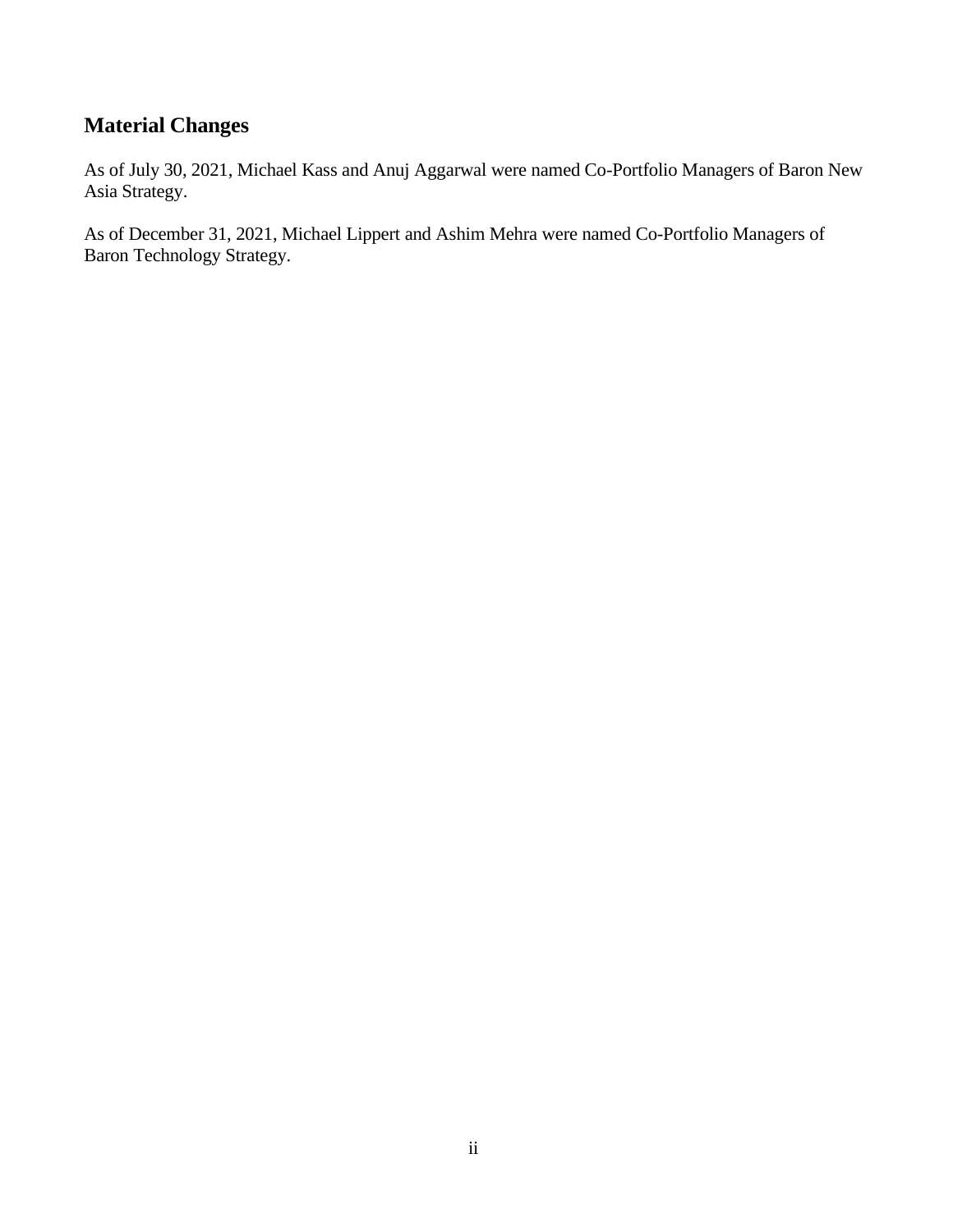# **Material Changes**

As of July 30, 2021, Michael Kass and Anuj Aggarwal were named Co-Portfolio Managers of Baron New Asia Strategy.

As of December 31, 2021, Michael Lippert and Ashim Mehra were named Co-Portfolio Managers of Baron Technology Strategy.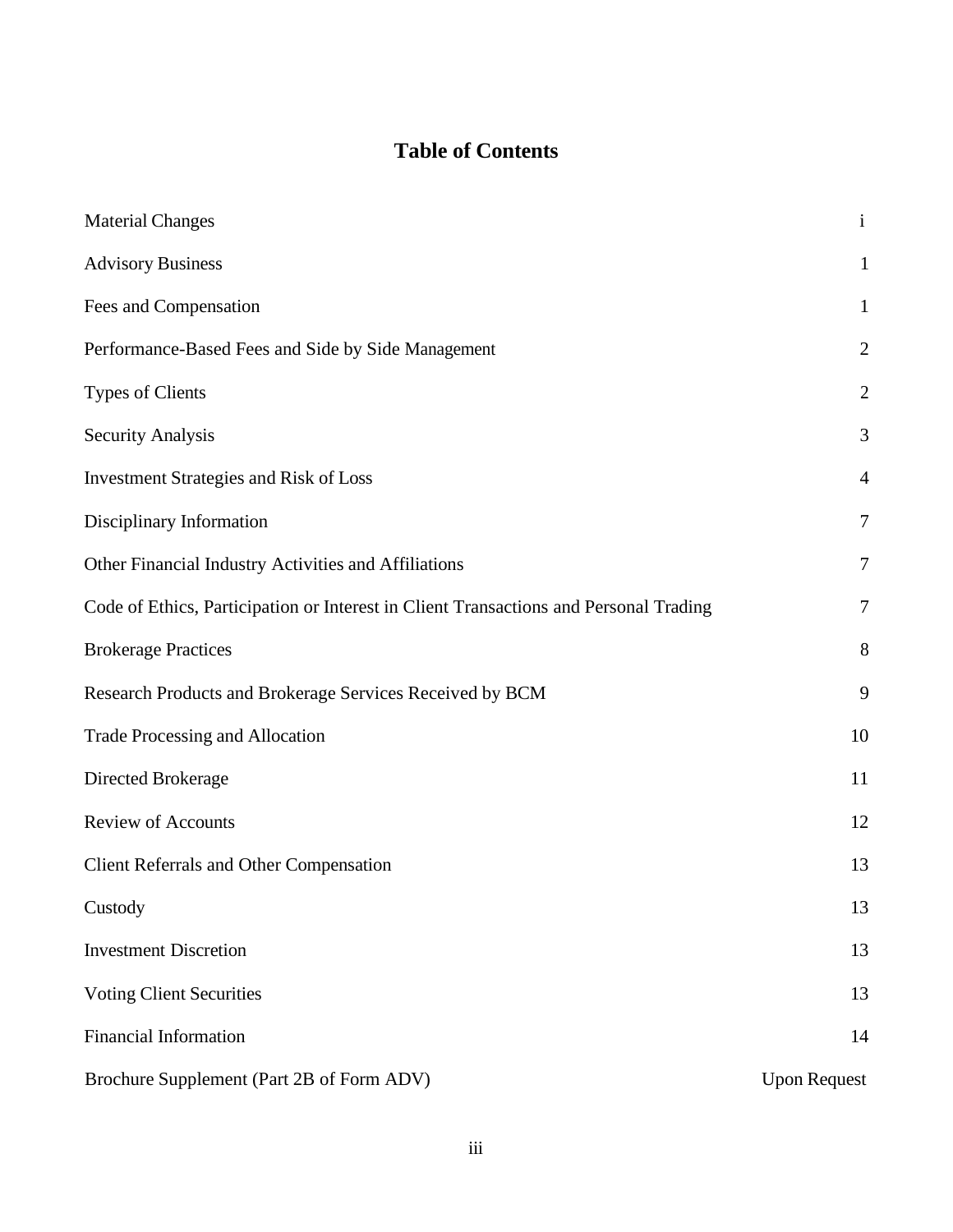# **Table of Contents**

| <b>Material Changes</b>                                                               | $\mathbf{i}$        |
|---------------------------------------------------------------------------------------|---------------------|
| <b>Advisory Business</b>                                                              | $\mathbf{1}$        |
| Fees and Compensation                                                                 | $\mathbf{1}$        |
| Performance-Based Fees and Side by Side Management                                    | $\overline{2}$      |
| <b>Types of Clients</b>                                                               | $\overline{2}$      |
| <b>Security Analysis</b>                                                              | 3                   |
| <b>Investment Strategies and Risk of Loss</b>                                         | $\overline{4}$      |
| Disciplinary Information                                                              | $\overline{7}$      |
| Other Financial Industry Activities and Affiliations                                  | $\tau$              |
| Code of Ethics, Participation or Interest in Client Transactions and Personal Trading | $\tau$              |
| <b>Brokerage Practices</b>                                                            | 8                   |
| Research Products and Brokerage Services Received by BCM                              | 9                   |
| Trade Processing and Allocation                                                       | 10                  |
| Directed Brokerage                                                                    | 11                  |
| <b>Review of Accounts</b>                                                             | 12                  |
| <b>Client Referrals and Other Compensation</b>                                        | 13                  |
| Custody                                                                               | 13                  |
| <b>Investment Discretion</b>                                                          | 13                  |
| <b>Voting Client Securities</b>                                                       | 13                  |
| <b>Financial Information</b>                                                          | 14                  |
| Brochure Supplement (Part 2B of Form ADV)                                             | <b>Upon Request</b> |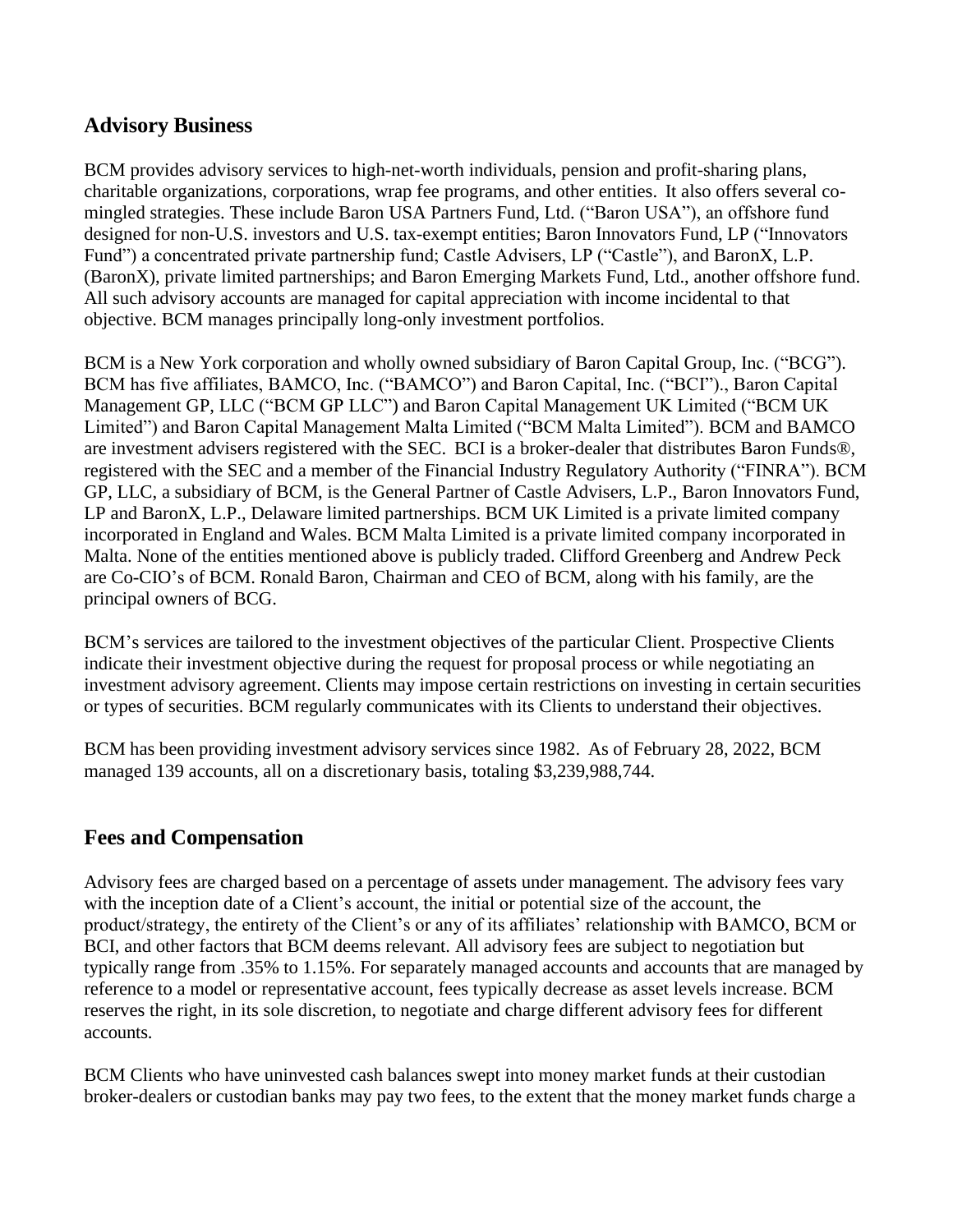## **Advisory Business**

BCM provides advisory services to high-net-worth individuals, pension and profit-sharing plans, charitable organizations, corporations, wrap fee programs, and other entities. It also offers several comingled strategies. These include Baron USA Partners Fund, Ltd. ("Baron USA"), an offshore fund designed for non-U.S. investors and U.S. tax-exempt entities; Baron Innovators Fund, LP ("Innovators Fund") a concentrated private partnership fund; Castle Advisers, LP ("Castle"), and BaronX, L.P. (BaronX), private limited partnerships; and Baron Emerging Markets Fund, Ltd., another offshore fund. All such advisory accounts are managed for capital appreciation with income incidental to that objective. BCM manages principally long-only investment portfolios.

BCM is a New York corporation and wholly owned subsidiary of Baron Capital Group, Inc. ("BCG"). BCM has five affiliates, BAMCO, Inc. ("BAMCO") and Baron Capital, Inc. ("BCI")., Baron Capital Management GP, LLC ("BCM GP LLC") and Baron Capital Management UK Limited ("BCM UK Limited") and Baron Capital Management Malta Limited ("BCM Malta Limited"). BCM and BAMCO are investment advisers registered with the SEC. BCI is a broker-dealer that distributes Baron Funds®, registered with the SEC and a member of the Financial Industry Regulatory Authority ("FINRA"). BCM GP, LLC, a subsidiary of BCM, is the General Partner of Castle Advisers, L.P., Baron Innovators Fund, LP and BaronX, L.P., Delaware limited partnerships. BCM UK Limited is a private limited company incorporated in England and Wales. BCM Malta Limited is a private limited company incorporated in Malta. None of the entities mentioned above is publicly traded. Clifford Greenberg and Andrew Peck are Co-CIO's of BCM. Ronald Baron, Chairman and CEO of BCM, along with his family, are the principal owners of BCG.

BCM's services are tailored to the investment objectives of the particular Client. Prospective Clients indicate their investment objective during the request for proposal process or while negotiating an investment advisory agreement. Clients may impose certain restrictions on investing in certain securities or types of securities. BCM regularly communicates with its Clients to understand their objectives.

BCM has been providing investment advisory services since 1982. As of February 28, 2022, BCM managed 139 accounts, all on a discretionary basis, totaling \$3,239,988,744.

## **Fees and Compensation**

Advisory fees are charged based on a percentage of assets under management. The advisory fees vary with the inception date of a Client's account, the initial or potential size of the account, the product/strategy, the entirety of the Client's or any of its affiliates' relationship with BAMCO, BCM or BCI, and other factors that BCM deems relevant. All advisory fees are subject to negotiation but typically range from .35% to 1.15%. For separately managed accounts and accounts that are managed by reference to a model or representative account, fees typically decrease as asset levels increase. BCM reserves the right, in its sole discretion, to negotiate and charge different advisory fees for different accounts.

BCM Clients who have uninvested cash balances swept into money market funds at their custodian broker-dealers or custodian banks may pay two fees, to the extent that the money market funds charge a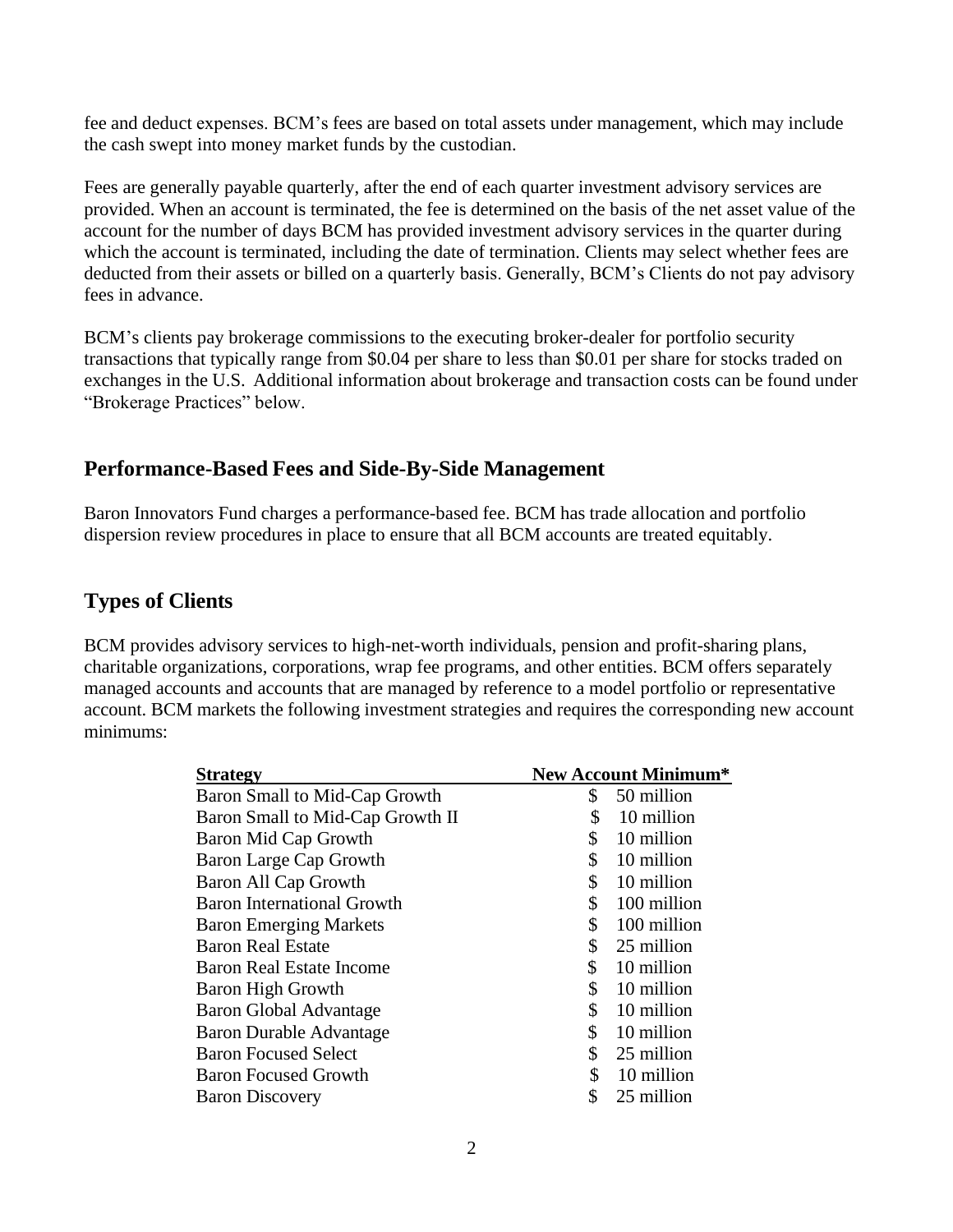fee and deduct expenses. BCM's fees are based on total assets under management, which may include the cash swept into money market funds by the custodian.

Fees are generally payable quarterly, after the end of each quarter investment advisory services are provided. When an account is terminated, the fee is determined on the basis of the net asset value of the account for the number of days BCM has provided investment advisory services in the quarter during which the account is terminated, including the date of termination. Clients may select whether fees are deducted from their assets or billed on a quarterly basis. Generally, BCM's Clients do not pay advisory fees in advance.

BCM's clients pay brokerage commissions to the executing broker-dealer for portfolio security transactions that typically range from \$0.04 per share to less than \$0.01 per share for stocks traded on exchanges in the U.S. Additional information about brokerage and transaction costs can be found under "Brokerage Practices" below.

## **Performance-Based Fees and Side-By-Side Management**

Baron Innovators Fund charges a performance-based fee. BCM has trade allocation and portfolio dispersion review procedures in place to ensure that all BCM accounts are treated equitably.

## **Types of Clients**

BCM provides advisory services to high-net-worth individuals, pension and profit-sharing plans, charitable organizations, corporations, wrap fee programs, and other entities. BCM offers separately managed accounts and accounts that are managed by reference to a model portfolio or representative account. BCM markets the following investment strategies and requires the corresponding new account minimums:

| <b>Strategy</b>                      | <b>New Account Minimum*</b> |
|--------------------------------------|-----------------------------|
| <b>Baron Small to Mid-Cap Growth</b> | \$<br>50 million            |
| Baron Small to Mid-Cap Growth II     | \$<br>10 million            |
| <b>Baron Mid Cap Growth</b>          | \$<br>10 million            |
| Baron Large Cap Growth               | \$<br>10 million            |
| <b>Baron All Cap Growth</b>          | \$<br>10 million            |
| <b>Baron International Growth</b>    | \$<br>100 million           |
| <b>Baron Emerging Markets</b>        | \$<br>100 million           |
| <b>Baron Real Estate</b>             | \$<br>25 million            |
| <b>Baron Real Estate Income</b>      | \$<br>10 million            |
| <b>Baron High Growth</b>             | \$<br>10 million            |
| <b>Baron Global Advantage</b>        | \$<br>10 million            |
| <b>Baron Durable Advantage</b>       | \$<br>10 million            |
| <b>Baron Focused Select</b>          | \$<br>25 million            |
| <b>Baron Focused Growth</b>          | \$<br>10 million            |
| <b>Baron Discovery</b>               | \$<br>25 million            |
|                                      |                             |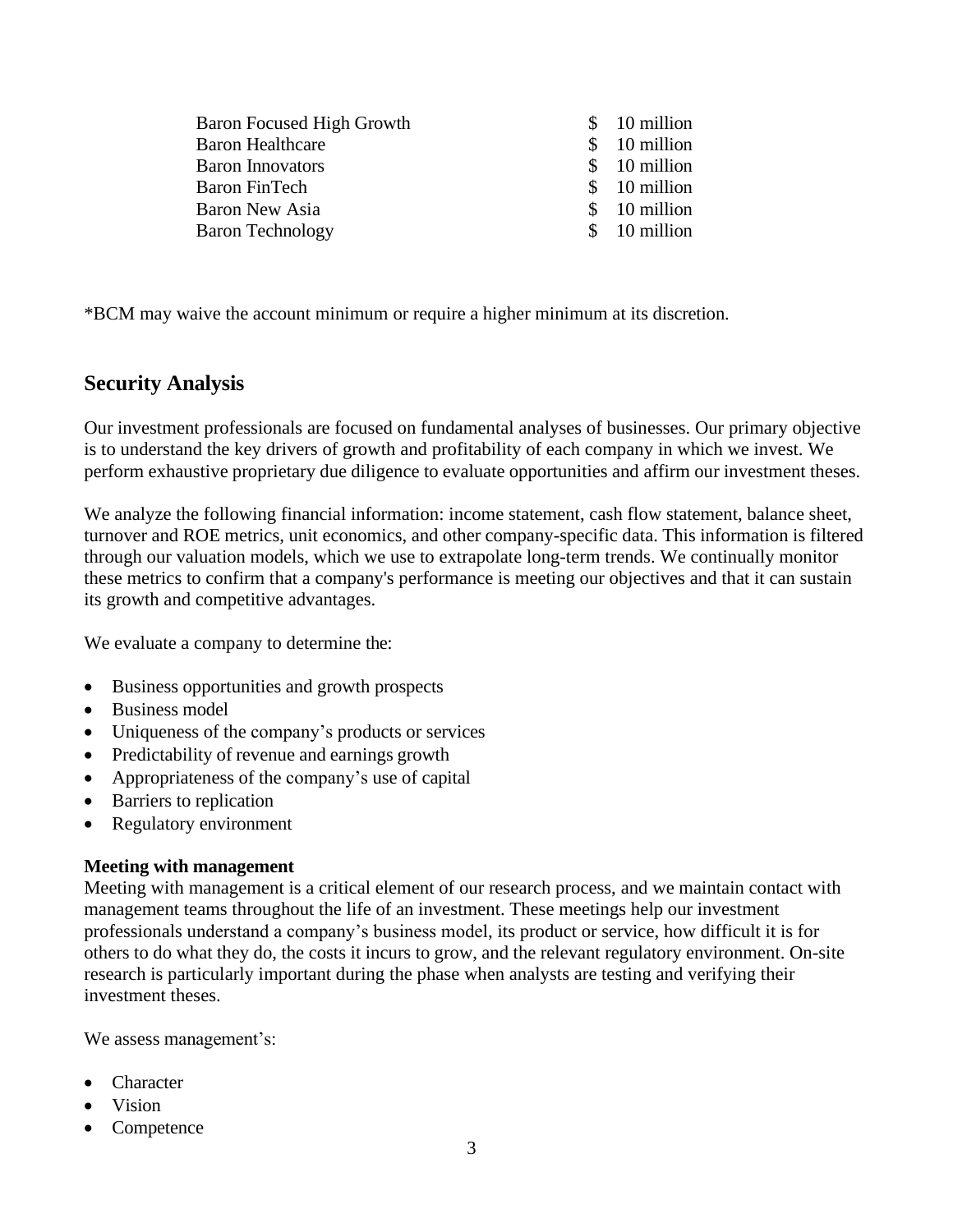| Baron Focused High Growth | $$10$ million |
|---------------------------|---------------|
| <b>Baron Healthcare</b>   | $$10$ million |
| <b>Baron Innovators</b>   | $$10$ million |
| Baron FinTech             | $$10$ million |
| Baron New Asia            | $$10$ million |
| <b>Baron Technology</b>   | \$ 10 million |
|                           |               |

\*BCM may waive the account minimum or require a higher minimum at its discretion.

## **Security Analysis**

Our investment professionals are focused on fundamental analyses of businesses. Our primary objective is to understand the key drivers of growth and profitability of each company in which we invest. We perform exhaustive proprietary due diligence to evaluate opportunities and affirm our investment theses.

We analyze the following financial information: income statement, cash flow statement, balance sheet, turnover and ROE metrics, unit economics, and other company-specific data. This information is filtered through our valuation models, which we use to extrapolate long-term trends. We continually monitor these metrics to confirm that a company's performance is meeting our objectives and that it can sustain its growth and competitive advantages.

We evaluate a company to determine the:

- Business opportunities and growth prospects
- Business model
- Uniqueness of the company's products or services
- Predictability of revenue and earnings growth
- Appropriateness of the company's use of capital
- Barriers to replication
- Regulatory environment

#### **Meeting with management**

Meeting with management is a critical element of our research process, and we maintain contact with management teams throughout the life of an investment. These meetings help our investment professionals understand a company's business model, its product or service, how difficult it is for others to do what they do, the costs it incurs to grow, and the relevant regulatory environment. On-site research is particularly important during the phase when analysts are testing and verifying their investment theses.

We assess management's:

- **Character**
- Vision
- **Competence**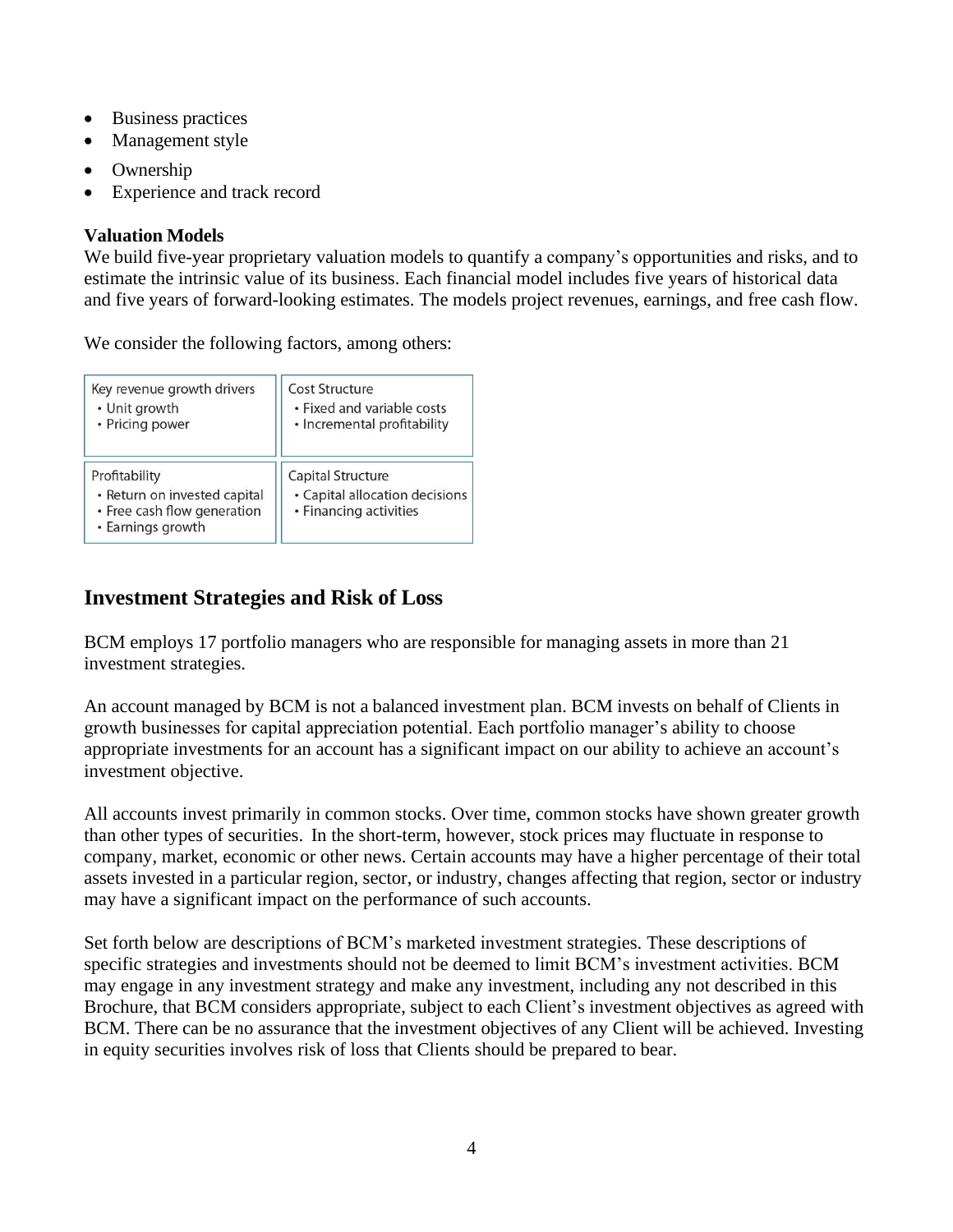- Business practices
- Management style
- **Ownership**
- Experience and track record

### **Valuation Models**

We build five-year proprietary valuation models to quantify a company's opportunities and risks, and to estimate the intrinsic value of its business. Each financial model includes five years of historical data and five years of forward-looking estimates. The models project revenues, earnings, and free cash flow.

We consider the following factors, among others:

| Key revenue growth drivers                                                                        | Cost Structure                                                                |
|---------------------------------------------------------------------------------------------------|-------------------------------------------------------------------------------|
| • Unit growth                                                                                     | • Fixed and variable costs                                                    |
| • Pricing power                                                                                   | • Incremental profitability                                                   |
| Profitability<br>· Return on invested capital<br>• Free cash flow generation<br>• Earnings growth | Capital Structure<br>• Capital allocation decisions<br>• Financing activities |

## **Investment Strategies and Risk of Loss**

BCM employs 17 portfolio managers who are responsible for managing assets in more than 21 investment strategies.

An account managed by BCM is not a balanced investment plan. BCM invests on behalf of Clients in growth businesses for capital appreciation potential. Each portfolio manager's ability to choose appropriate investments for an account has a significant impact on our ability to achieve an account's investment objective.

All accounts invest primarily in common stocks. Over time, common stocks have shown greater growth than other types of securities. In the short-term, however, stock prices may fluctuate in response to company, market, economic or other news. Certain accounts may have a higher percentage of their total assets invested in a particular region, sector, or industry, changes affecting that region, sector or industry may have a significant impact on the performance of such accounts.

Set forth below are descriptions of BCM's marketed investment strategies. These descriptions of specific strategies and investments should not be deemed to limit BCM's investment activities. BCM may engage in any investment strategy and make any investment, including any not described in this Brochure, that BCM considers appropriate, subject to each Client's investment objectives as agreed with BCM. There can be no assurance that the investment objectives of any Client will be achieved. Investing in equity securities involves risk of loss that Clients should be prepared to bear.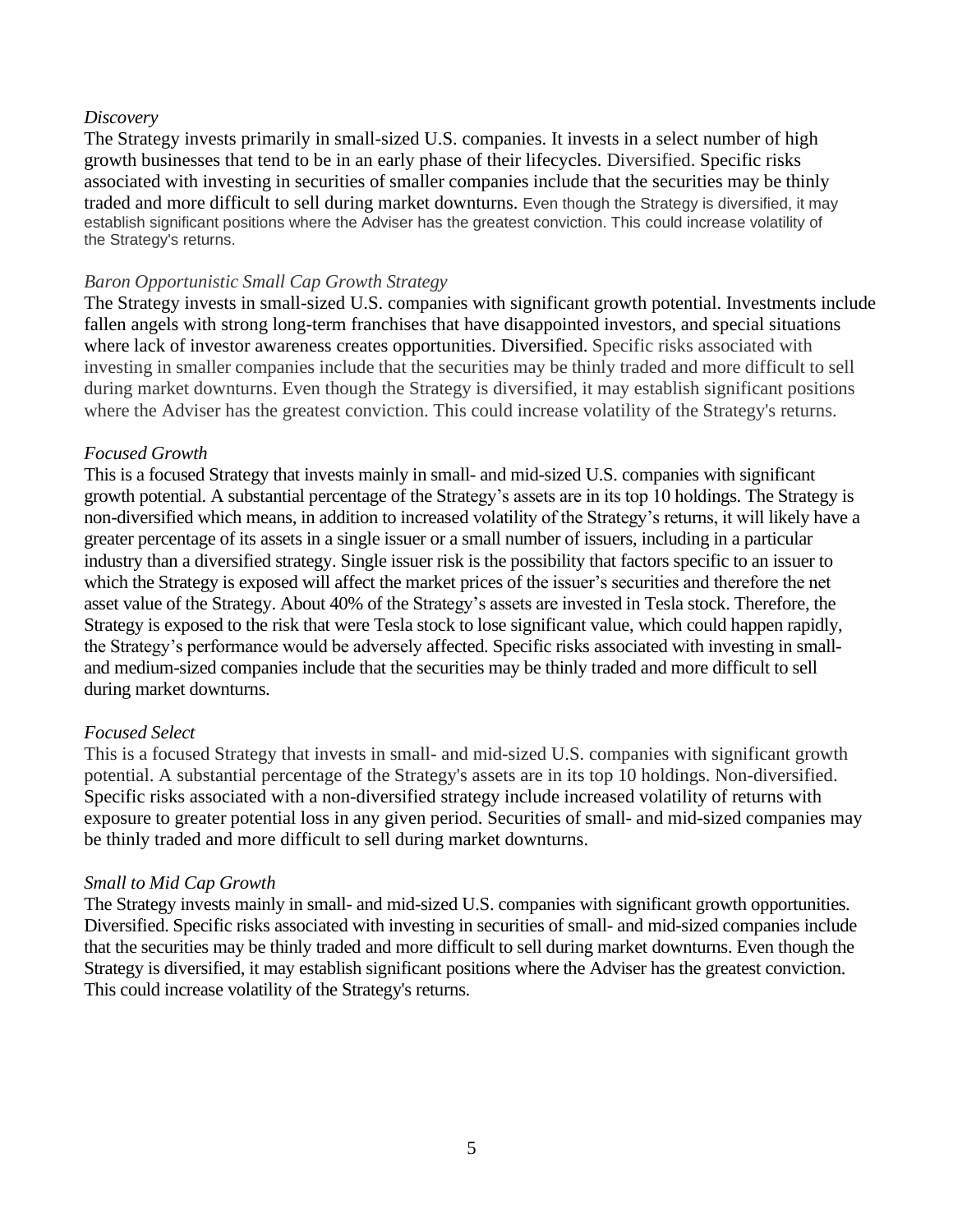### *Discovery*

The Strategy invests primarily in small-sized U.S. companies. It invests in a select number of high growth businesses that tend to be in an early phase of their lifecycles. Diversified. Specific risks associated with investing in securities of smaller companies include that the securities may be thinly traded and more difficult to sell during market downturns. Even though the Strategy is diversified, it may establish significant positions where the Adviser has the greatest conviction. This could increase volatility of the Strategy's returns.

#### *Baron Opportunistic Small Cap Growth Strategy*

The Strategy invests in small-sized U.S. companies with significant growth potential. Investments include fallen angels with strong long-term franchises that have disappointed investors, and special situations where lack of investor awareness creates opportunities. Diversified. Specific risks associated with investing in smaller companies include that the securities may be thinly traded and more difficult to sell during market downturns. Even though the Strategy is diversified, it may establish significant positions where the Adviser has the greatest conviction. This could increase volatility of the Strategy's returns.

### *Focused Growth*

This is a focused Strategy that invests mainly in small- and mid-sized U.S. companies with significant growth potential. A substantial percentage of the Strategy's assets are in its top 10 holdings. The Strategy is non-diversified which means, in addition to increased volatility of the Strategy's returns, it will likely have a greater percentage of its assets in a single issuer or a small number of issuers, including in a particular industry than a diversified strategy. Single issuer risk is the possibility that factors specific to an issuer to which the Strategy is exposed will affect the market prices of the issuer's securities and therefore the net asset value of the Strategy. About 40% of the Strategy's assets are invested in Tesla stock. Therefore, the Strategy is exposed to the risk that were Tesla stock to lose significant value, which could happen rapidly, the Strategy's performance would be adversely affected. Specific risks associated with investing in smalland medium-sized companies include that the securities may be thinly traded and more difficult to sell during market downturns.

### *Focused Select*

This is a focused Strategy that invests in small- and mid-sized U.S. companies with significant growth potential. A substantial percentage of the Strategy's assets are in its top 10 holdings. Non-diversified. Specific risks associated with a non-diversified strategy include increased volatility of returns with exposure to greater potential loss in any given period. Securities of small- and mid-sized companies may be thinly traded and more difficult to sell during market downturns.

#### *Small to Mid Cap Growth*

The Strategy invests mainly in small- and mid-sized U.S. companies with significant growth opportunities. Diversified. Specific risks associated with investing in securities of small- and mid-sized companies include that the securities may be thinly traded and more difficult to sell during market downturns. Even though the Strategy is diversified, it may establish significant positions where the Adviser has the greatest conviction. This could increase volatility of the Strategy's returns.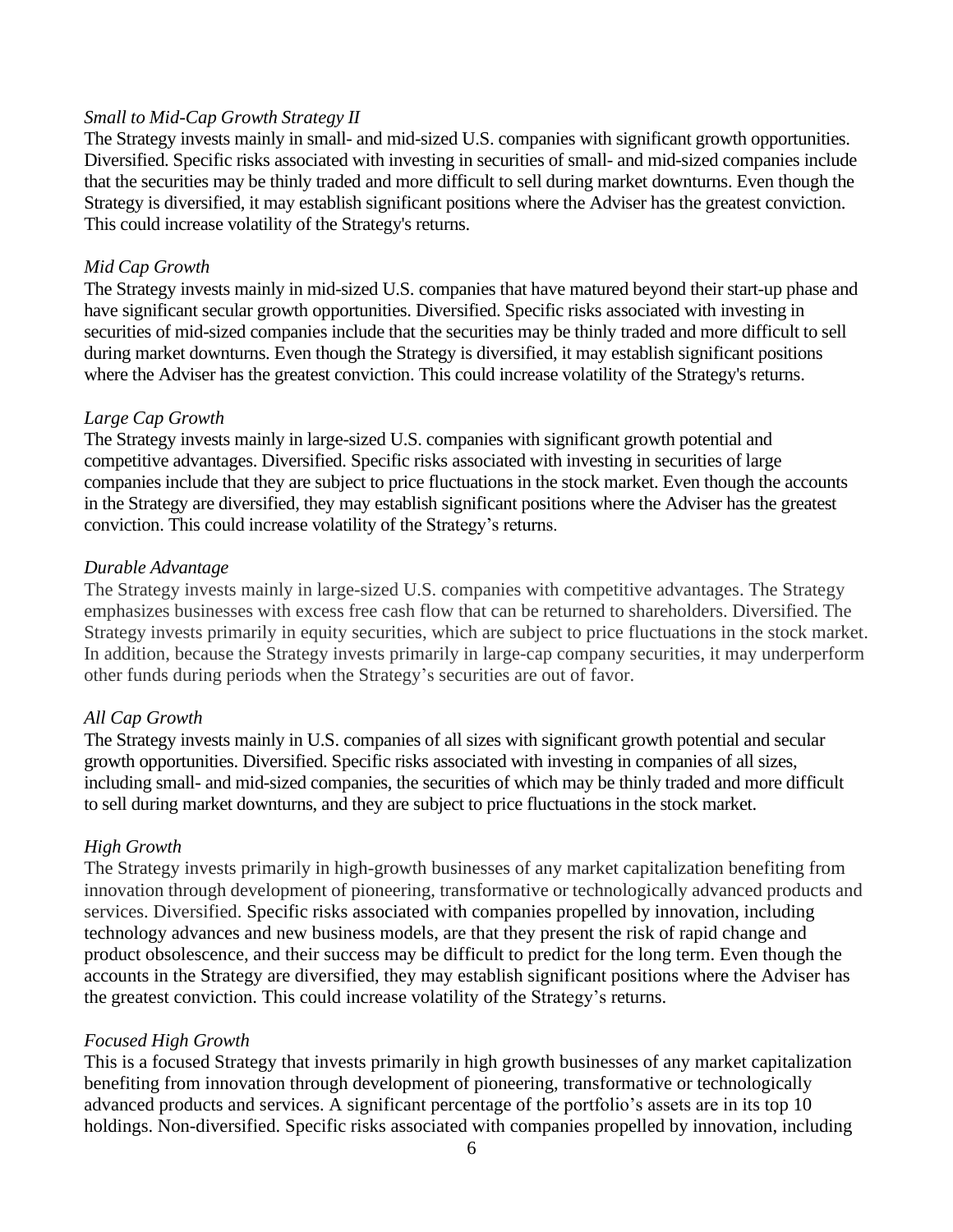### *Small to Mid-Cap Growth Strategy II*

The Strategy invests mainly in small- and mid-sized U.S. companies with significant growth opportunities. Diversified. Specific risks associated with investing in securities of small- and mid-sized companies include that the securities may be thinly traded and more difficult to sell during market downturns. Even though the Strategy is diversified, it may establish significant positions where the Adviser has the greatest conviction. This could increase volatility of the Strategy's returns.

### *Mid Cap Growth*

The Strategy invests mainly in mid-sized U.S. companies that have matured beyond their start-up phase and have significant secular growth opportunities. Diversified. Specific risks associated with investing in securities of mid-sized companies include that the securities may be thinly traded and more difficult to sell during market downturns. Even though the Strategy is diversified, it may establish significant positions where the Adviser has the greatest conviction. This could increase volatility of the Strategy's returns.

### *Large Cap Growth*

The Strategy invests mainly in large-sized U.S. companies with significant growth potential and competitive advantages. Diversified. Specific risks associated with investing in securities of large companies include that they are subject to price fluctuations in the stock market. Even though the accounts in the Strategy are diversified, they may establish significant positions where the Adviser has the greatest conviction. This could increase volatility of the Strategy's returns.

### *Durable Advantage*

The Strategy invests mainly in large-sized U.S. companies with competitive advantages. The Strategy emphasizes businesses with excess free cash flow that can be returned to shareholders. Diversified. The Strategy invests primarily in equity securities, which are subject to price fluctuations in the stock market. In addition, because the Strategy invests primarily in large-cap company securities, it may underperform other funds during periods when the Strategy's securities are out of favor.

### *All Cap Growth*

The Strategy invests mainly in U.S. companies of all sizes with significant growth potential and secular growth opportunities. Diversified. Specific risks associated with investing in companies of all sizes, including small- and mid-sized companies, the securities of which may be thinly traded and more difficult to sell during market downturns, and they are subject to price fluctuations in the stock market.

### *High Growth*

The Strategy invests primarily in high-growth businesses of any market capitalization benefiting from innovation through development of pioneering, transformative or technologically advanced products and services. Diversified. Specific risks associated with companies propelled by innovation, including technology advances and new business models, are that they present the risk of rapid change and product obsolescence, and their success may be difficult to predict for the long term. Even though the accounts in the Strategy are diversified, they may establish significant positions where the Adviser has the greatest conviction. This could increase volatility of the Strategy's returns.

### *Focused High Growth*

This is a focused Strategy that invests primarily in high growth businesses of any market capitalization benefiting from innovation through development of pioneering, transformative or technologically advanced products and services. A significant percentage of the portfolio's assets are in its top 10 holdings. Non-diversified. Specific risks associated with companies propelled by innovation, including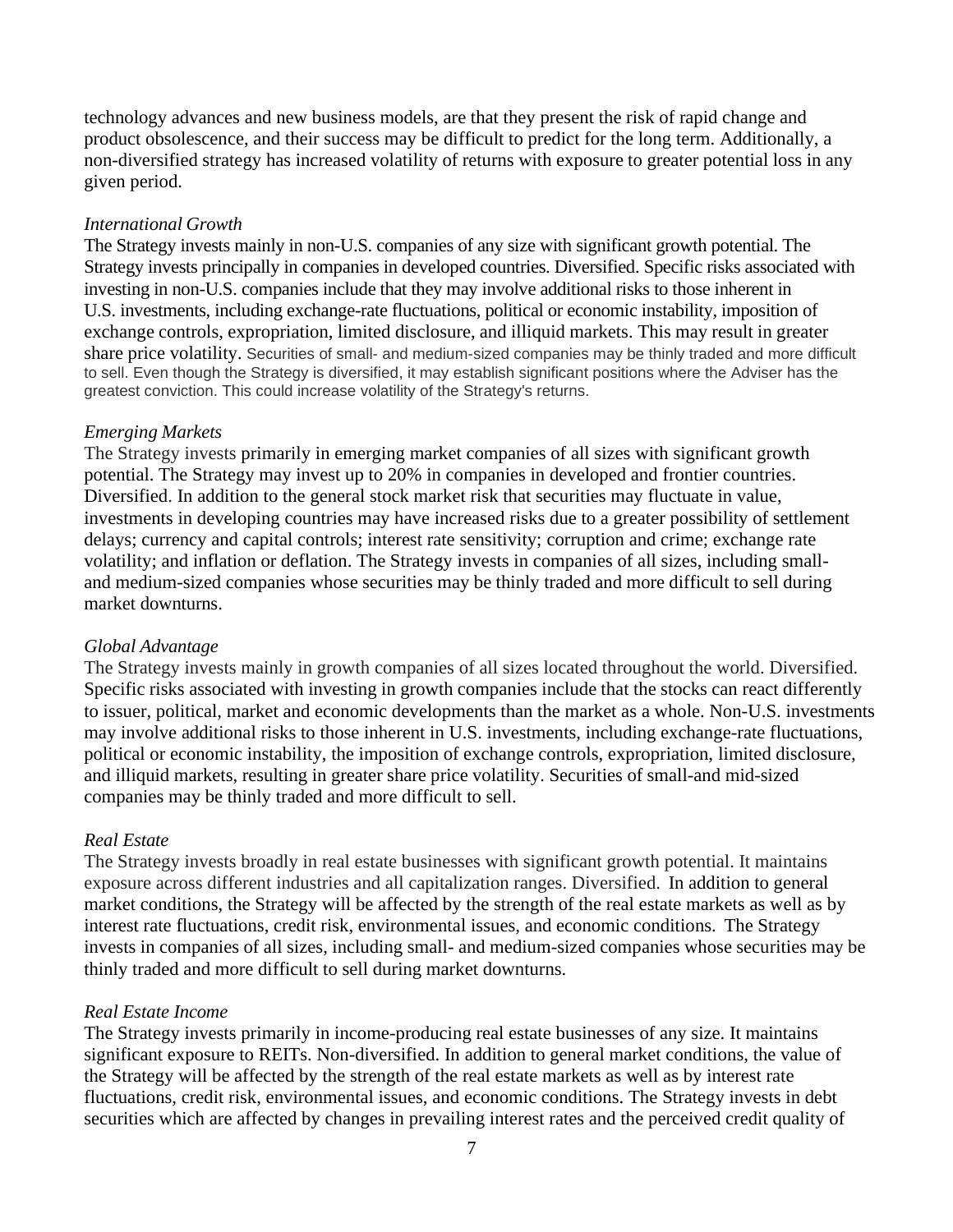technology advances and new business models, are that they present the risk of rapid change and product obsolescence, and their success may be difficult to predict for the long term. Additionally, a non-diversified strategy has increased volatility of returns with exposure to greater potential loss in any given period.

#### *International Growth*

The Strategy invests mainly in non-U.S. companies of any size with significant growth potential. The Strategy invests principally in companies in developed countries. Diversified. Specific risks associated with investing in non-U.S. companies include that they may involve additional risks to those inherent in U.S. investments, including exchange-rate fluctuations, political or economic instability, imposition of exchange controls, expropriation, limited disclosure, and illiquid markets. This may result in greater share price volatility. Securities of small- and medium-sized companies may be thinly traded and more difficult to sell. Even though the Strategy is diversified, it may establish significant positions where the Adviser has the greatest conviction. This could increase volatility of the Strategy's returns.

### *Emerging Markets*

The Strategy invests primarily in emerging market companies of all sizes with significant growth potential. The Strategy may invest up to 20% in companies in developed and frontier countries. Diversified. In addition to the general stock market risk that securities may fluctuate in value, investments in developing countries may have increased risks due to a greater possibility of settlement delays; currency and capital controls; interest rate sensitivity; corruption and crime; exchange rate volatility; and inflation or deflation. The Strategy invests in companies of all sizes, including smalland medium-sized companies whose securities may be thinly traded and more difficult to sell during market downturns.

#### *Global Advantage*

The Strategy invests mainly in growth companies of all sizes located throughout the world. Diversified. Specific risks associated with investing in growth companies include that the stocks can react differently to issuer, political, market and economic developments than the market as a whole. Non-U.S. investments may involve additional risks to those inherent in U.S. investments, including exchange-rate fluctuations, political or economic instability, the imposition of exchange controls, expropriation, limited disclosure, and illiquid markets, resulting in greater share price volatility. Securities of small-and mid-sized companies may be thinly traded and more difficult to sell.

### *Real Estate*

The Strategy invests broadly in real estate businesses with significant growth potential. It maintains exposure across different industries and all capitalization ranges. Diversified. In addition to general market conditions, the Strategy will be affected by the strength of the real estate markets as well as by interest rate fluctuations, credit risk, environmental issues, and economic conditions. The Strategy invests in companies of all sizes, including small- and medium-sized companies whose securities may be thinly traded and more difficult to sell during market downturns.

#### *Real Estate Income*

The Strategy invests primarily in income-producing real estate businesses of any size. It maintains significant exposure to REITs. Non-diversified. In addition to general market conditions, the value of the Strategy will be affected by the strength of the real estate markets as well as by interest rate fluctuations, credit risk, environmental issues, and economic conditions. The Strategy invests in debt securities which are affected by changes in prevailing interest rates and the perceived credit quality of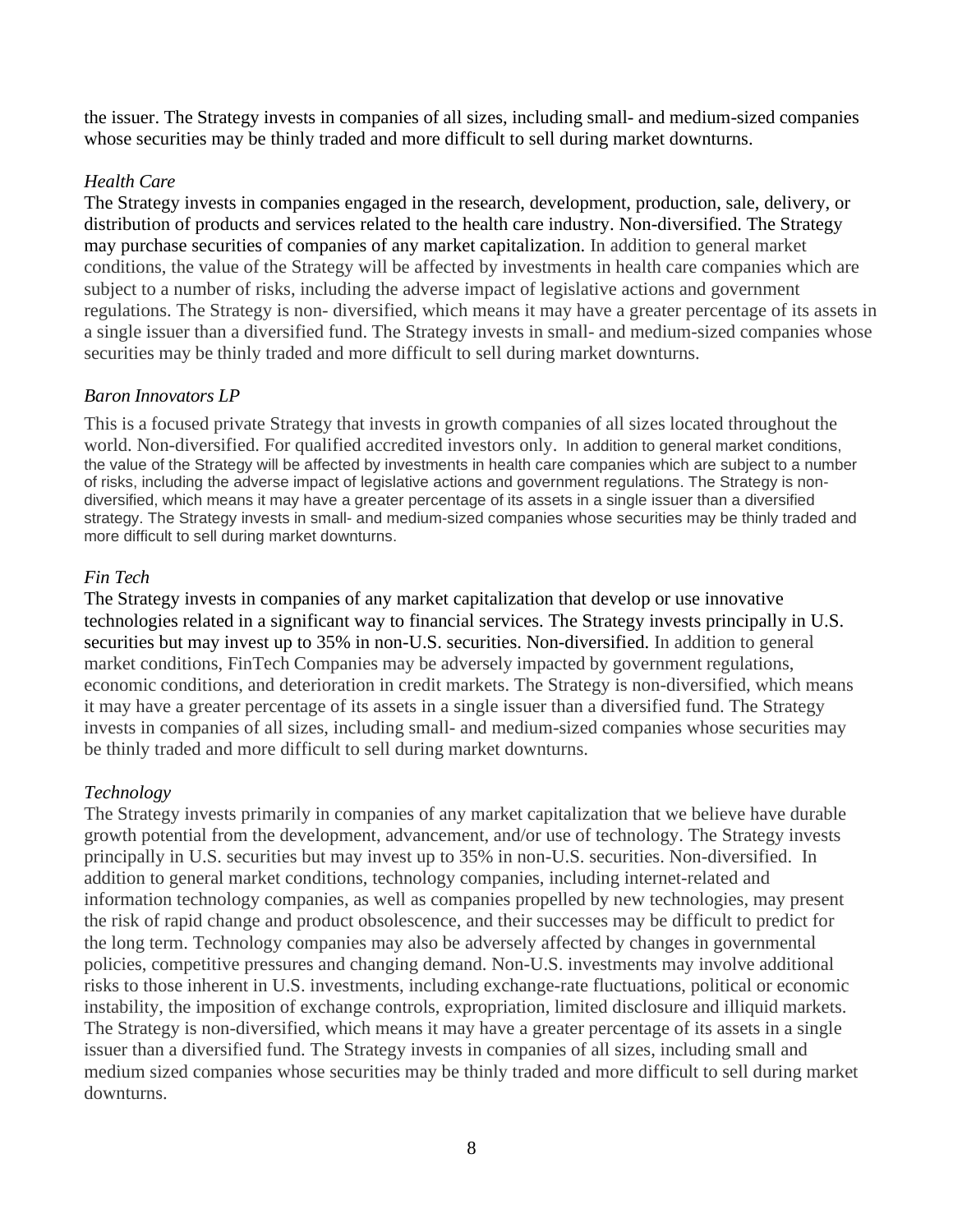the issuer. The Strategy invests in companies of all sizes, including small- and medium-sized companies whose securities may be thinly traded and more difficult to sell during market downturns.

### *Health Care*

The Strategy invests in companies engaged in the research, development, production, sale, delivery, or distribution of products and services related to the health care industry. Non-diversified. The Strategy may purchase securities of companies of any market capitalization. In addition to general market conditions, the value of the Strategy will be affected by investments in health care companies which are subject to a number of risks, including the adverse impact of legislative actions and government regulations. The Strategy is non- diversified, which means it may have a greater percentage of its assets in a single issuer than a diversified fund. The Strategy invests in small- and medium-sized companies whose securities may be thinly traded and more difficult to sell during market downturns.

### *Baron Innovators LP*

This is a focused private Strategy that invests in growth companies of all sizes located throughout the world. Non-diversified. For qualified accredited investors only. In addition to general market conditions, the value of the Strategy will be affected by investments in health care companies which are subject to a number of risks, including the adverse impact of legislative actions and government regulations. The Strategy is nondiversified, which means it may have a greater percentage of its assets in a single issuer than a diversified strategy. The Strategy invests in small- and medium-sized companies whose securities may be thinly traded and more difficult to sell during market downturns.

### *Fin Tech*

The Strategy invests in companies of any market capitalization that develop or use innovative technologies related in a significant way to financial services. The Strategy invests principally in U.S. securities but may invest up to 35% in non-U.S. securities. Non-diversified. In addition to general market conditions, FinTech Companies may be adversely impacted by government regulations, economic conditions, and deterioration in credit markets. The Strategy is non-diversified, which means it may have a greater percentage of its assets in a single issuer than a diversified fund. The Strategy invests in companies of all sizes, including small- and medium-sized companies whose securities may be thinly traded and more difficult to sell during market downturns.

### *Technology*

The Strategy invests primarily in companies of any market capitalization that we believe have durable growth potential from the development, advancement, and/or use of technology. The Strategy invests principally in U.S. securities but may invest up to 35% in non-U.S. securities. Non-diversified. In addition to general market conditions, technology companies, including internet-related and information technology companies, as well as companies propelled by new technologies, may present the risk of rapid change and product obsolescence, and their successes may be difficult to predict for the long term. Technology companies may also be adversely affected by changes in governmental policies, competitive pressures and changing demand. Non-U.S. investments may involve additional risks to those inherent in U.S. investments, including exchange-rate fluctuations, political or economic instability, the imposition of exchange controls, expropriation, limited disclosure and illiquid markets. The Strategy is non-diversified, which means it may have a greater percentage of its assets in a single issuer than a diversified fund. The Strategy invests in companies of all sizes, including small and medium sized companies whose securities may be thinly traded and more difficult to sell during market downturns.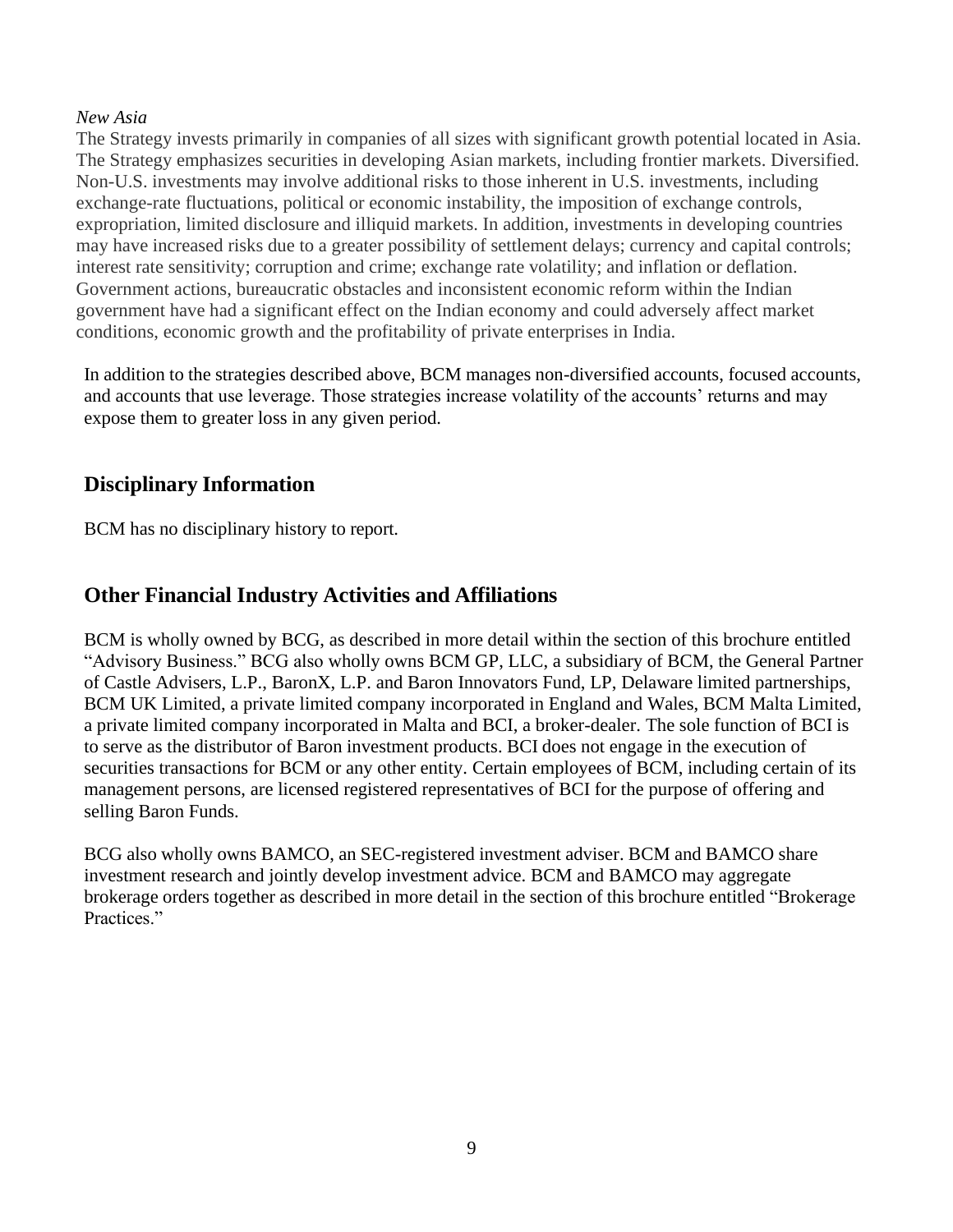### *New Asia*

The Strategy invests primarily in companies of all sizes with significant growth potential located in Asia. The Strategy emphasizes securities in developing Asian markets, including frontier markets. Diversified. Non-U.S. investments may involve additional risks to those inherent in U.S. investments, including exchange-rate fluctuations, political or economic instability, the imposition of exchange controls, expropriation, limited disclosure and illiquid markets. In addition, investments in developing countries may have increased risks due to a greater possibility of settlement delays; currency and capital controls; interest rate sensitivity; corruption and crime; exchange rate volatility; and inflation or deflation. Government actions, bureaucratic obstacles and inconsistent economic reform within the Indian government have had a significant effect on the Indian economy and could adversely affect market conditions, economic growth and the profitability of private enterprises in India.

In addition to the strategies described above, BCM manages non-diversified accounts, focused accounts, and accounts that use leverage. Those strategies increase volatility of the accounts' returns and may expose them to greater loss in any given period.

## **Disciplinary Information**

BCM has no disciplinary history to report.

## **Other Financial Industry Activities and Affiliations**

BCM is wholly owned by BCG, as described in more detail within the section of this brochure entitled "Advisory Business." BCG also wholly owns BCM GP, LLC, a subsidiary of BCM, the General Partner of Castle Advisers, L.P., BaronX, L.P. and Baron Innovators Fund, LP, Delaware limited partnerships, BCM UK Limited, a private limited company incorporated in England and Wales, BCM Malta Limited, a private limited company incorporated in Malta and BCI, a broker-dealer. The sole function of BCI is to serve as the distributor of Baron investment products. BCI does not engage in the execution of securities transactions for BCM or any other entity. Certain employees of BCM, including certain of its management persons, are licensed registered representatives of BCI for the purpose of offering and selling Baron Funds.

BCG also wholly owns BAMCO, an SEC-registered investment adviser. BCM and BAMCO share investment research and jointly develop investment advice. BCM and BAMCO may aggregate brokerage orders together as described in more detail in the section of this brochure entitled "Brokerage Practices."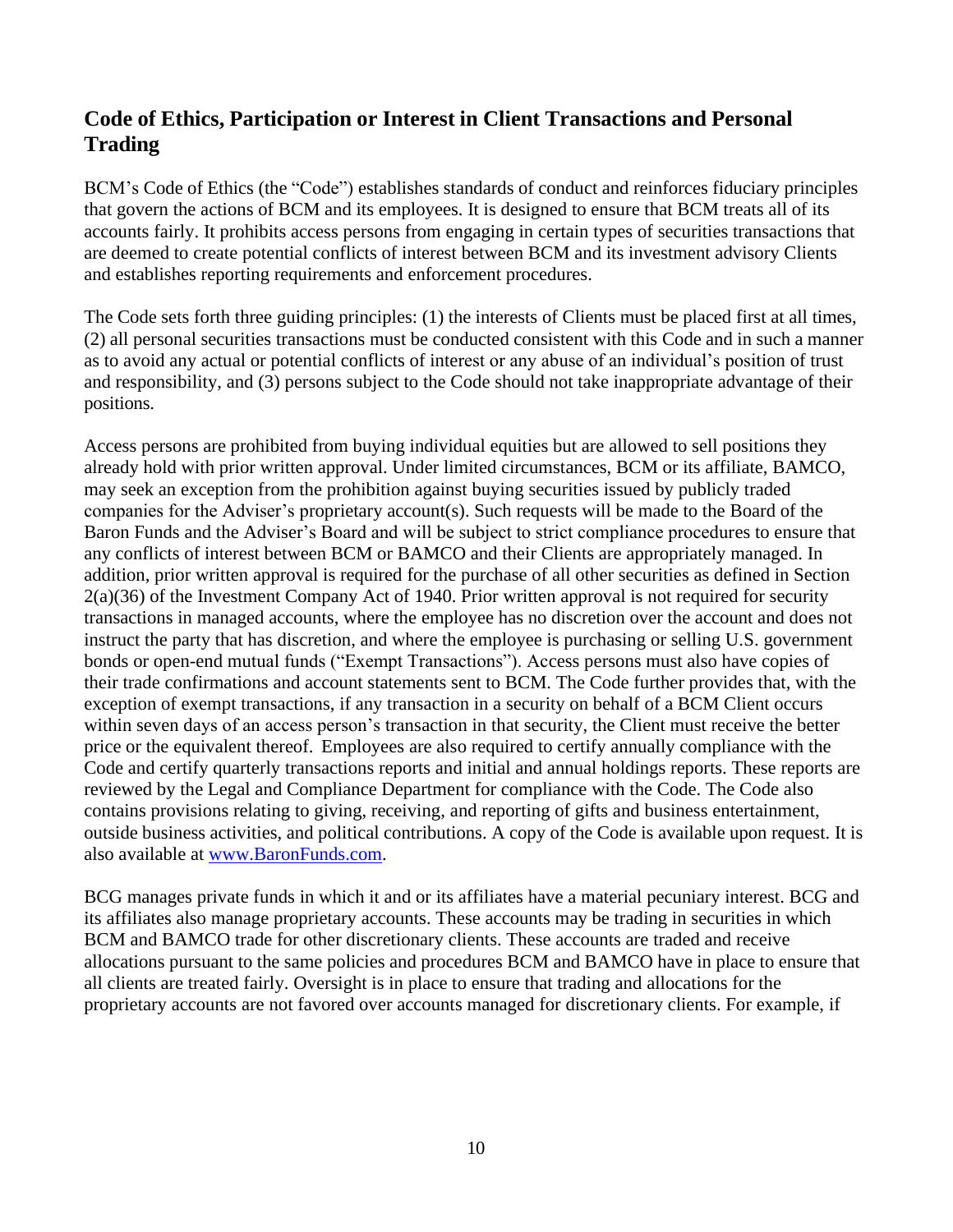## **Code of Ethics, Participation or Interest in Client Transactions and Personal Trading**

BCM's Code of Ethics (the "Code") establishes standards of conduct and reinforces fiduciary principles that govern the actions of BCM and its employees. It is designed to ensure that BCM treats all of its accounts fairly. It prohibits access persons from engaging in certain types of securities transactions that are deemed to create potential conflicts of interest between BCM and its investment advisory Clients and establishes reporting requirements and enforcement procedures.

The Code sets forth three guiding principles: (1) the interests of Clients must be placed first at all times, (2) all personal securities transactions must be conducted consistent with this Code and in such a manner as to avoid any actual or potential conflicts of interest or any abuse of an individual's position of trust and responsibility, and (3) persons subject to the Code should not take inappropriate advantage of their positions.

Access persons are prohibited from buying individual equities but are allowed to sell positions they already hold with prior written approval. Under limited circumstances, BCM or its affiliate, BAMCO, may seek an exception from the prohibition against buying securities issued by publicly traded companies for the Adviser's proprietary account(s). Such requests will be made to the Board of the Baron Funds and the Adviser's Board and will be subject to strict compliance procedures to ensure that any conflicts of interest between BCM or BAMCO and their Clients are appropriately managed. In addition, prior written approval is required for the purchase of all other securities as defined in Section 2(a)(36) of the Investment Company Act of 1940. Prior written approval is not required for security transactions in managed accounts, where the employee has no discretion over the account and does not instruct the party that has discretion, and where the employee is purchasing or selling U.S. government bonds or open-end mutual funds ("Exempt Transactions"). Access persons must also have copies of their trade confirmations and account statements sent to BCM. The Code further provides that, with the exception of exempt transactions, if any transaction in a security on behalf of a BCM Client occurs within seven days of an access person's transaction in that security, the Client must receive the better price or the equivalent thereof. Employees are also required to certify annually compliance with the Code and certify quarterly transactions reports and initial and annual holdings reports. These reports are reviewed by the Legal and Compliance Department for compliance with the Code. The Code also contains provisions relating to giving, receiving, and reporting of gifts and business entertainment, outside business activities, and political contributions. A copy of the Code is available upon request. It is also available at [www.BaronFunds.com.](http://www.baronfunds.com/)

BCG manages private funds in which it and or its affiliates have a material pecuniary interest. BCG and its affiliates also manage proprietary accounts. These accounts may be trading in securities in which BCM and BAMCO trade for other discretionary clients. These accounts are traded and receive allocations pursuant to the same policies and procedures BCM and BAMCO have in place to ensure that all clients are treated fairly. Oversight is in place to ensure that trading and allocations for the proprietary accounts are not favored over accounts managed for discretionary clients. For example, if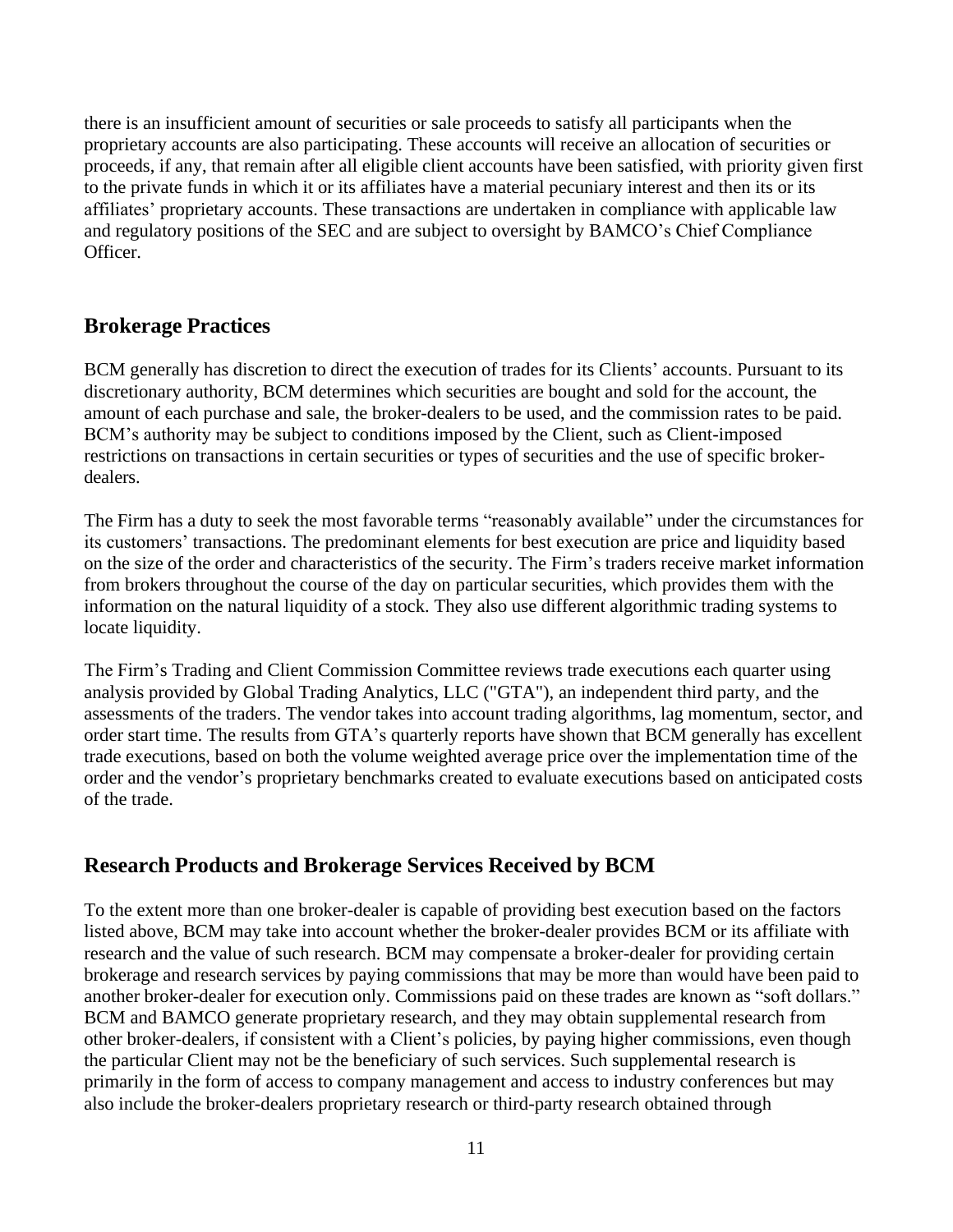there is an insufficient amount of securities or sale proceeds to satisfy all participants when the proprietary accounts are also participating. These accounts will receive an allocation of securities or proceeds, if any, that remain after all eligible client accounts have been satisfied, with priority given first to the private funds in which it or its affiliates have a material pecuniary interest and then its or its affiliates' proprietary accounts. These transactions are undertaken in compliance with applicable law and regulatory positions of the SEC and are subject to oversight by BAMCO's Chief Compliance Officer.

## **Brokerage Practices**

BCM generally has discretion to direct the execution of trades for its Clients' accounts. Pursuant to its discretionary authority, BCM determines which securities are bought and sold for the account, the amount of each purchase and sale, the broker-dealers to be used, and the commission rates to be paid. BCM's authority may be subject to conditions imposed by the Client, such as Client-imposed restrictions on transactions in certain securities or types of securities and the use of specific brokerdealers.

The Firm has a duty to seek the most favorable terms "reasonably available" under the circumstances for its customers' transactions. The predominant elements for best execution are price and liquidity based on the size of the order and characteristics of the security. The Firm's traders receive market information from brokers throughout the course of the day on particular securities, which provides them with the information on the natural liquidity of a stock. They also use different algorithmic trading systems to locate liquidity.

The Firm's Trading and Client Commission Committee reviews trade executions each quarter using analysis provided by Global Trading Analytics, LLC ("GTA"), an independent third party, and the assessments of the traders. The vendor takes into account trading algorithms, lag momentum, sector, and order start time. The results from GTA's quarterly reports have shown that BCM generally has excellent trade executions, based on both the volume weighted average price over the implementation time of the order and the vendor's proprietary benchmarks created to evaluate executions based on anticipated costs of the trade.

## **Research Products and Brokerage Services Received by BCM**

To the extent more than one broker-dealer is capable of providing best execution based on the factors listed above, BCM may take into account whether the broker-dealer provides BCM or its affiliate with research and the value of such research. BCM may compensate a broker-dealer for providing certain brokerage and research services by paying commissions that may be more than would have been paid to another broker-dealer for execution only. Commissions paid on these trades are known as "soft dollars." BCM and BAMCO generate proprietary research, and they may obtain supplemental research from other broker-dealers, if consistent with a Client's policies, by paying higher commissions, even though the particular Client may not be the beneficiary of such services. Such supplemental research is primarily in the form of access to company management and access to industry conferences but may also include the broker-dealers proprietary research or third-party research obtained through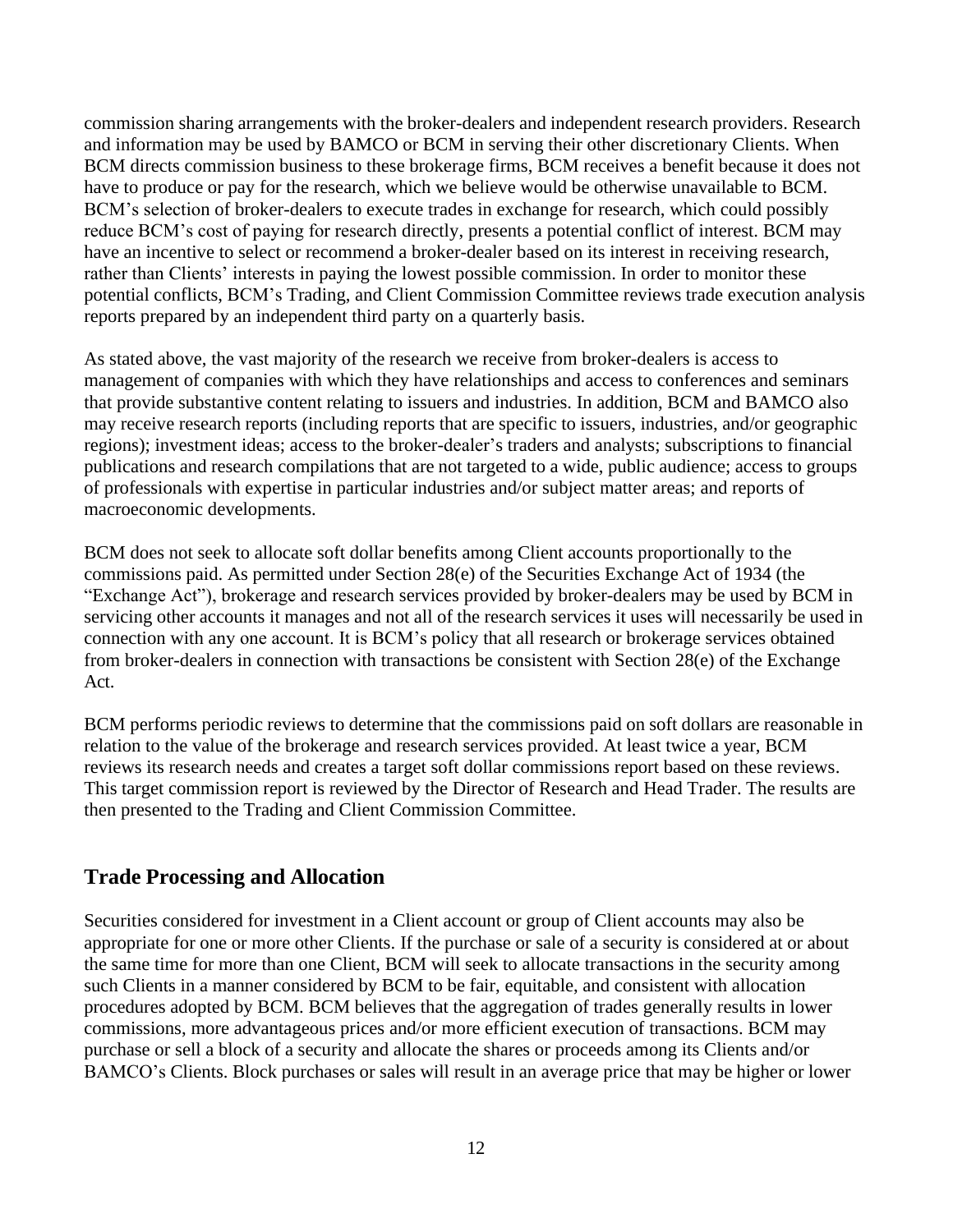commission sharing arrangements with the broker-dealers and independent research providers. Research and information may be used by BAMCO or BCM in serving their other discretionary Clients. When BCM directs commission business to these brokerage firms, BCM receives a benefit because it does not have to produce or pay for the research, which we believe would be otherwise unavailable to BCM. BCM's selection of broker-dealers to execute trades in exchange for research, which could possibly reduce BCM's cost of paying for research directly, presents a potential conflict of interest. BCM may have an incentive to select or recommend a broker-dealer based on its interest in receiving research, rather than Clients' interests in paying the lowest possible commission. In order to monitor these potential conflicts, BCM's Trading, and Client Commission Committee reviews trade execution analysis reports prepared by an independent third party on a quarterly basis.

As stated above, the vast majority of the research we receive from broker-dealers is access to management of companies with which they have relationships and access to conferences and seminars that provide substantive content relating to issuers and industries. In addition, BCM and BAMCO also may receive research reports (including reports that are specific to issuers, industries, and/or geographic regions); investment ideas; access to the broker-dealer's traders and analysts; subscriptions to financial publications and research compilations that are not targeted to a wide, public audience; access to groups of professionals with expertise in particular industries and/or subject matter areas; and reports of macroeconomic developments.

BCM does not seek to allocate soft dollar benefits among Client accounts proportionally to the commissions paid. As permitted under Section 28(e) of the Securities Exchange Act of 1934 (the "Exchange Act"), brokerage and research services provided by broker-dealers may be used by BCM in servicing other accounts it manages and not all of the research services it uses will necessarily be used in connection with any one account. It is BCM's policy that all research or brokerage services obtained from broker-dealers in connection with transactions be consistent with Section 28(e) of the Exchange Act.

BCM performs periodic reviews to determine that the commissions paid on soft dollars are reasonable in relation to the value of the brokerage and research services provided. At least twice a year, BCM reviews its research needs and creates a target soft dollar commissions report based on these reviews. This target commission report is reviewed by the Director of Research and Head Trader. The results are then presented to the Trading and Client Commission Committee.

## **Trade Processing and Allocation**

Securities considered for investment in a Client account or group of Client accounts may also be appropriate for one or more other Clients. If the purchase or sale of a security is considered at or about the same time for more than one Client, BCM will seek to allocate transactions in the security among such Clients in a manner considered by BCM to be fair, equitable, and consistent with allocation procedures adopted by BCM. BCM believes that the aggregation of trades generally results in lower commissions, more advantageous prices and/or more efficient execution of transactions. BCM may purchase or sell a block of a security and allocate the shares or proceeds among its Clients and/or BAMCO's Clients. Block purchases or sales will result in an average price that may be higher or lower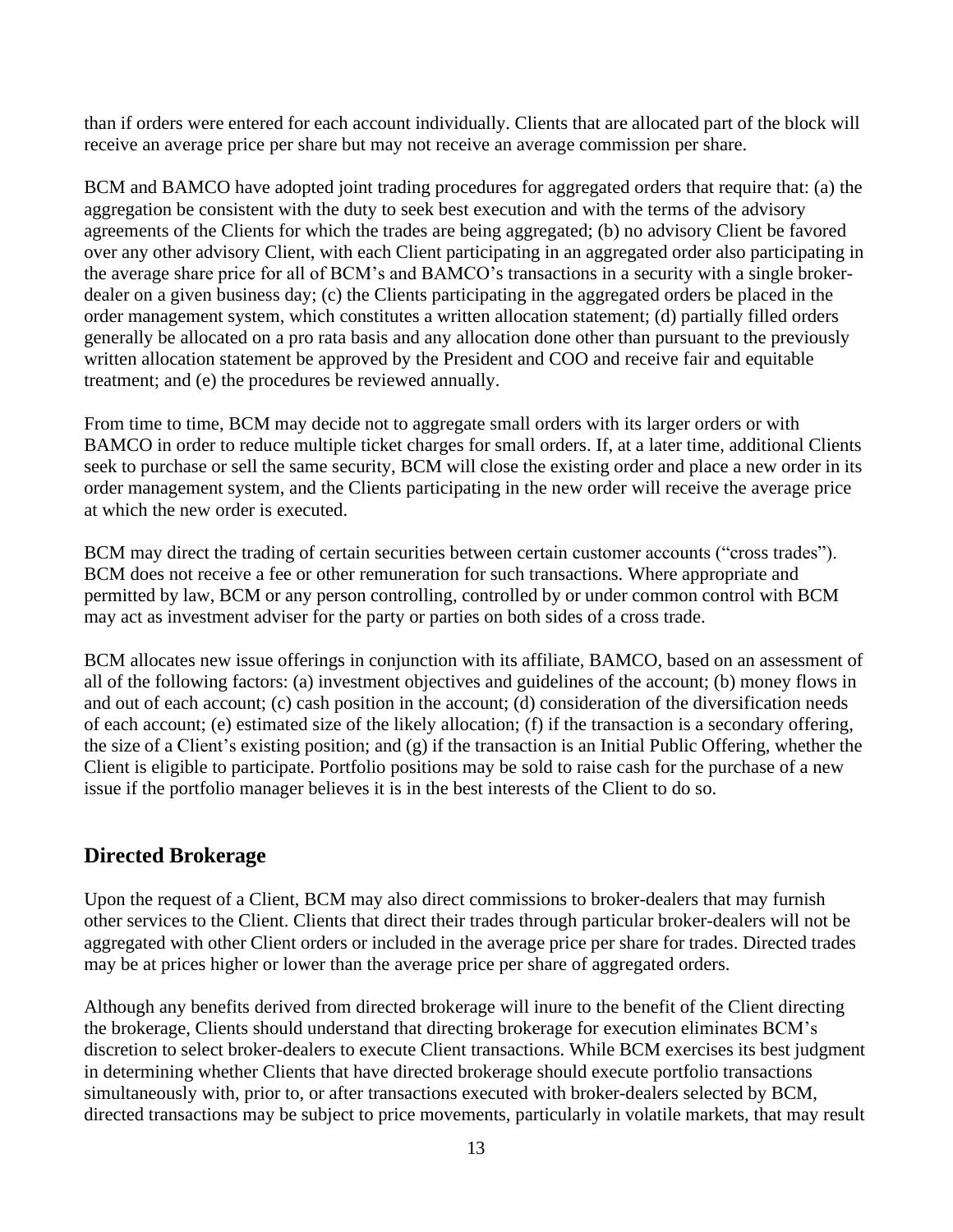than if orders were entered for each account individually. Clients that are allocated part of the block will receive an average price per share but may not receive an average commission per share.

BCM and BAMCO have adopted joint trading procedures for aggregated orders that require that: (a) the aggregation be consistent with the duty to seek best execution and with the terms of the advisory agreements of the Clients for which the trades are being aggregated; (b) no advisory Client be favored over any other advisory Client, with each Client participating in an aggregated order also participating in the average share price for all of BCM's and BAMCO's transactions in a security with a single brokerdealer on a given business day; (c) the Clients participating in the aggregated orders be placed in the order management system, which constitutes a written allocation statement; (d) partially filled orders generally be allocated on a pro rata basis and any allocation done other than pursuant to the previously written allocation statement be approved by the President and COO and receive fair and equitable treatment; and (e) the procedures be reviewed annually.

From time to time, BCM may decide not to aggregate small orders with its larger orders or with BAMCO in order to reduce multiple ticket charges for small orders. If, at a later time, additional Clients seek to purchase or sell the same security, BCM will close the existing order and place a new order in its order management system, and the Clients participating in the new order will receive the average price at which the new order is executed.

BCM may direct the trading of certain securities between certain customer accounts ("cross trades"). BCM does not receive a fee or other remuneration for such transactions. Where appropriate and permitted by law, BCM or any person controlling, controlled by or under common control with BCM may act as investment adviser for the party or parties on both sides of a cross trade.

BCM allocates new issue offerings in conjunction with its affiliate, BAMCO, based on an assessment of all of the following factors: (a) investment objectives and guidelines of the account; (b) money flows in and out of each account; (c) cash position in the account; (d) consideration of the diversification needs of each account; (e) estimated size of the likely allocation; (f) if the transaction is a secondary offering, the size of a Client's existing position; and (g) if the transaction is an Initial Public Offering, whether the Client is eligible to participate. Portfolio positions may be sold to raise cash for the purchase of a new issue if the portfolio manager believes it is in the best interests of the Client to do so.

## **Directed Brokerage**

Upon the request of a Client, BCM may also direct commissions to broker-dealers that may furnish other services to the Client. Clients that direct their trades through particular broker-dealers will not be aggregated with other Client orders or included in the average price per share for trades. Directed trades may be at prices higher or lower than the average price per share of aggregated orders.

Although any benefits derived from directed brokerage will inure to the benefit of the Client directing the brokerage, Clients should understand that directing brokerage for execution eliminates BCM's discretion to select broker-dealers to execute Client transactions. While BCM exercises its best judgment in determining whether Clients that have directed brokerage should execute portfolio transactions simultaneously with, prior to, or after transactions executed with broker-dealers selected by BCM, directed transactions may be subject to price movements, particularly in volatile markets, that may result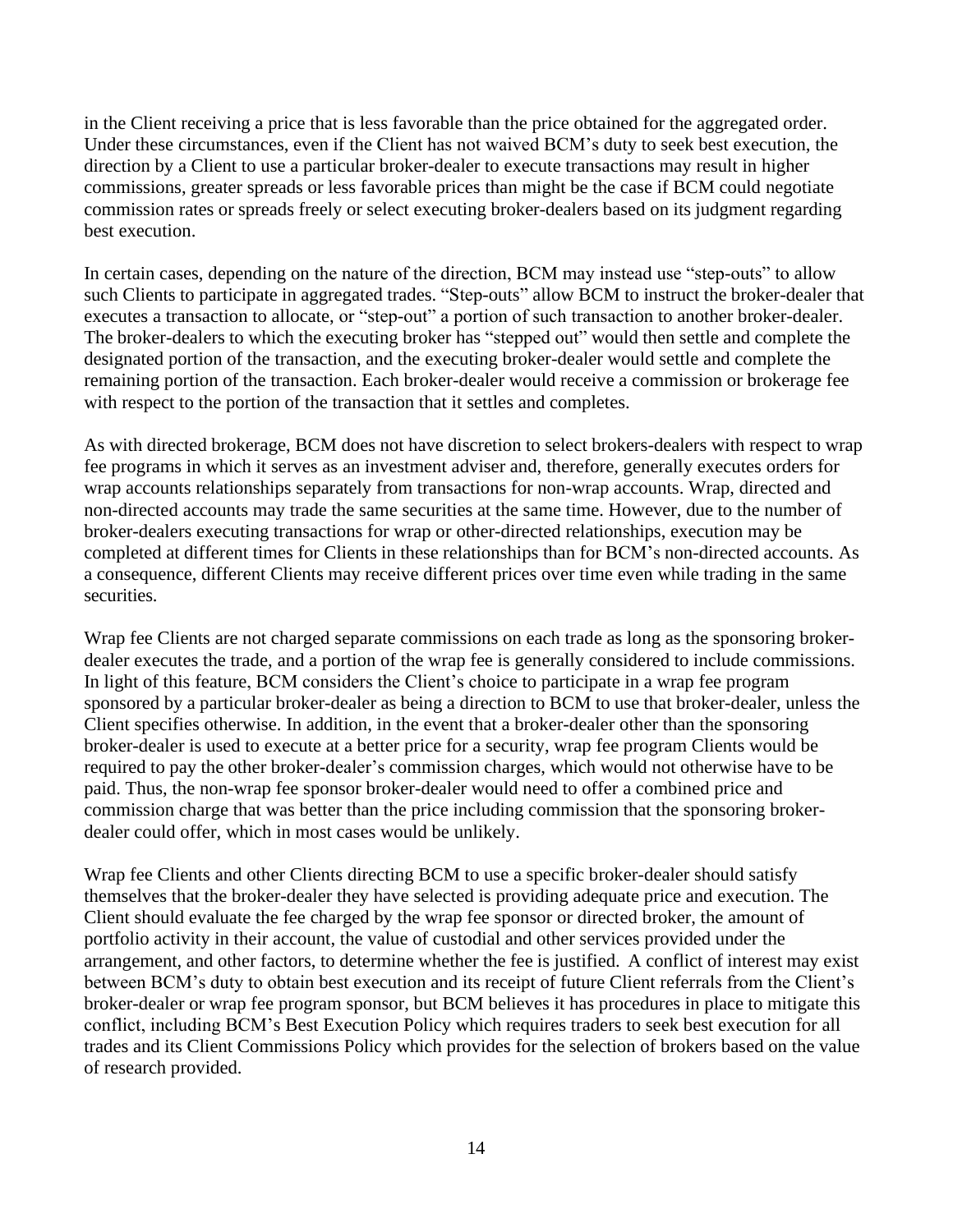in the Client receiving a price that is less favorable than the price obtained for the aggregated order. Under these circumstances, even if the Client has not waived BCM's duty to seek best execution, the direction by a Client to use a particular broker-dealer to execute transactions may result in higher commissions, greater spreads or less favorable prices than might be the case if BCM could negotiate commission rates or spreads freely or select executing broker-dealers based on its judgment regarding best execution.

In certain cases, depending on the nature of the direction, BCM may instead use "step-outs" to allow such Clients to participate in aggregated trades. "Step-outs" allow BCM to instruct the broker-dealer that executes a transaction to allocate, or "step-out" a portion of such transaction to another broker-dealer. The broker-dealers to which the executing broker has "stepped out" would then settle and complete the designated portion of the transaction, and the executing broker-dealer would settle and complete the remaining portion of the transaction. Each broker-dealer would receive a commission or brokerage fee with respect to the portion of the transaction that it settles and completes.

As with directed brokerage, BCM does not have discretion to select brokers-dealers with respect to wrap fee programs in which it serves as an investment adviser and, therefore, generally executes orders for wrap accounts relationships separately from transactions for non-wrap accounts. Wrap, directed and non-directed accounts may trade the same securities at the same time. However, due to the number of broker-dealers executing transactions for wrap or other-directed relationships, execution may be completed at different times for Clients in these relationships than for BCM's non-directed accounts. As a consequence, different Clients may receive different prices over time even while trading in the same securities.

Wrap fee Clients are not charged separate commissions on each trade as long as the sponsoring brokerdealer executes the trade, and a portion of the wrap fee is generally considered to include commissions. In light of this feature, BCM considers the Client's choice to participate in a wrap fee program sponsored by a particular broker-dealer as being a direction to BCM to use that broker-dealer, unless the Client specifies otherwise. In addition, in the event that a broker-dealer other than the sponsoring broker-dealer is used to execute at a better price for a security, wrap fee program Clients would be required to pay the other broker-dealer's commission charges, which would not otherwise have to be paid. Thus, the non-wrap fee sponsor broker-dealer would need to offer a combined price and commission charge that was better than the price including commission that the sponsoring brokerdealer could offer, which in most cases would be unlikely.

Wrap fee Clients and other Clients directing BCM to use a specific broker-dealer should satisfy themselves that the broker-dealer they have selected is providing adequate price and execution. The Client should evaluate the fee charged by the wrap fee sponsor or directed broker, the amount of portfolio activity in their account, the value of custodial and other services provided under the arrangement, and other factors, to determine whether the fee is justified. A conflict of interest may exist between BCM's duty to obtain best execution and its receipt of future Client referrals from the Client's broker-dealer or wrap fee program sponsor, but BCM believes it has procedures in place to mitigate this conflict, including BCM's Best Execution Policy which requires traders to seek best execution for all trades and its Client Commissions Policy which provides for the selection of brokers based on the value of research provided.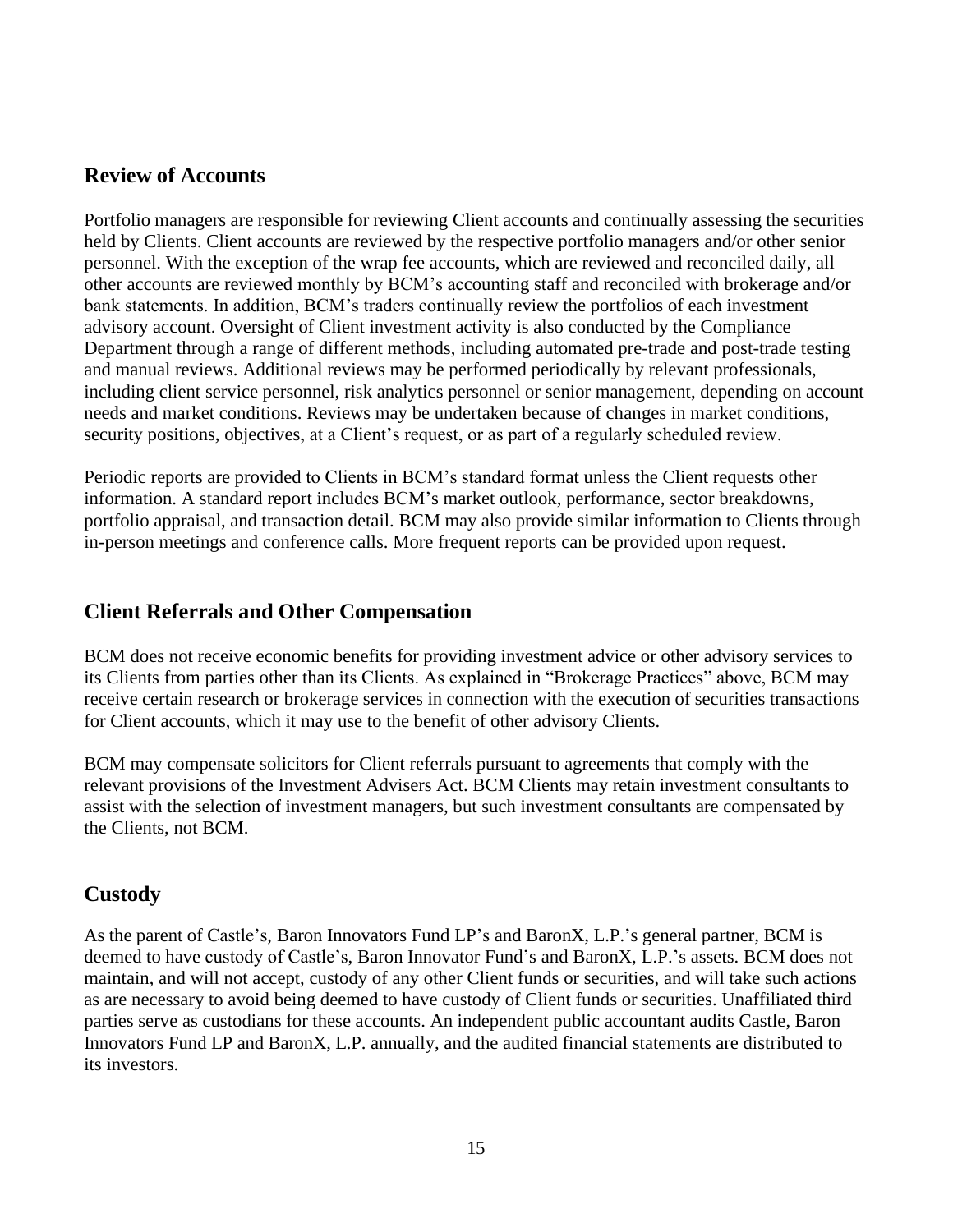## **Review of Accounts**

Portfolio managers are responsible for reviewing Client accounts and continually assessing the securities held by Clients. Client accounts are reviewed by the respective portfolio managers and/or other senior personnel. With the exception of the wrap fee accounts, which are reviewed and reconciled daily, all other accounts are reviewed monthly by BCM's accounting staff and reconciled with brokerage and/or bank statements. In addition, BCM's traders continually review the portfolios of each investment advisory account. Oversight of Client investment activity is also conducted by the Compliance Department through a range of different methods, including automated pre-trade and post-trade testing and manual reviews. Additional reviews may be performed periodically by relevant professionals, including client service personnel, risk analytics personnel or senior management, depending on account needs and market conditions. Reviews may be undertaken because of changes in market conditions, security positions, objectives, at a Client's request, or as part of a regularly scheduled review.

Periodic reports are provided to Clients in BCM's standard format unless the Client requests other information. A standard report includes BCM's market outlook, performance, sector breakdowns, portfolio appraisal, and transaction detail. BCM may also provide similar information to Clients through in-person meetings and conference calls. More frequent reports can be provided upon request.

## **Client Referrals and Other Compensation**

BCM does not receive economic benefits for providing investment advice or other advisory services to its Clients from parties other than its Clients. As explained in "Brokerage Practices" above, BCM may receive certain research or brokerage services in connection with the execution of securities transactions for Client accounts, which it may use to the benefit of other advisory Clients.

BCM may compensate solicitors for Client referrals pursuant to agreements that comply with the relevant provisions of the Investment Advisers Act. BCM Clients may retain investment consultants to assist with the selection of investment managers, but such investment consultants are compensated by the Clients, not BCM.

## **Custody**

As the parent of Castle's, Baron Innovators Fund LP's and BaronX, L.P.'s general partner, BCM is deemed to have custody of Castle's, Baron Innovator Fund's and BaronX, L.P.'s assets. BCM does not maintain, and will not accept, custody of any other Client funds or securities, and will take such actions as are necessary to avoid being deemed to have custody of Client funds or securities. Unaffiliated third parties serve as custodians for these accounts. An independent public accountant audits Castle, Baron Innovators Fund LP and BaronX, L.P. annually, and the audited financial statements are distributed to its investors.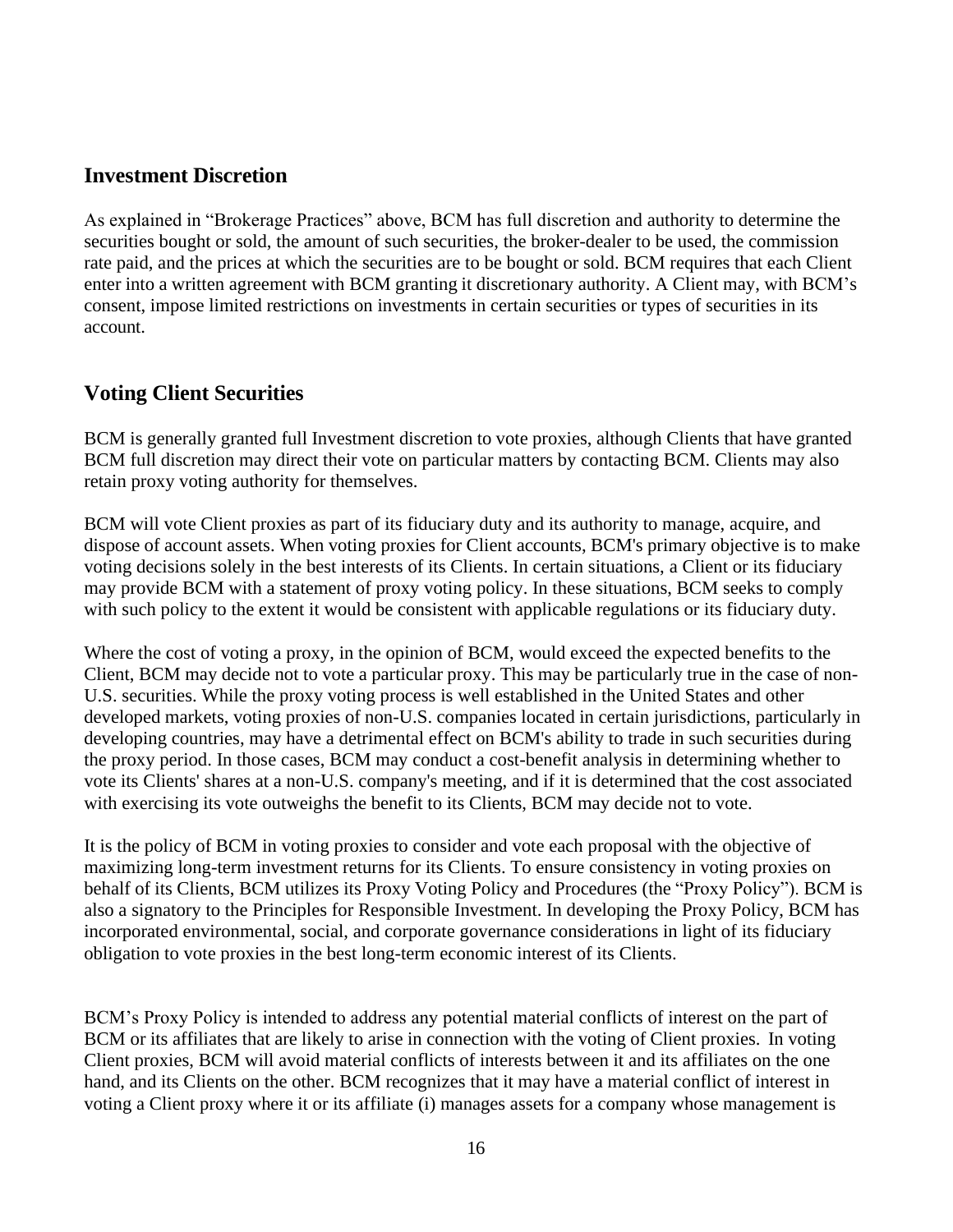## **Investment Discretion**

As explained in "Brokerage Practices" above, BCM has full discretion and authority to determine the securities bought or sold, the amount of such securities, the broker-dealer to be used, the commission rate paid, and the prices at which the securities are to be bought or sold. BCM requires that each Client enter into a written agreement with BCM granting it discretionary authority. A Client may, with BCM's consent, impose limited restrictions on investments in certain securities or types of securities in its account.

## **Voting Client Securities**

BCM is generally granted full Investment discretion to vote proxies, although Clients that have granted BCM full discretion may direct their vote on particular matters by contacting BCM. Clients may also retain proxy voting authority for themselves.

BCM will vote Client proxies as part of its fiduciary duty and its authority to manage, acquire, and dispose of account assets. When voting proxies for Client accounts, BCM's primary objective is to make voting decisions solely in the best interests of its Clients. In certain situations, a Client or its fiduciary may provide BCM with a statement of proxy voting policy. In these situations, BCM seeks to comply with such policy to the extent it would be consistent with applicable regulations or its fiduciary duty.

Where the cost of voting a proxy, in the opinion of BCM, would exceed the expected benefits to the Client, BCM may decide not to vote a particular proxy. This may be particularly true in the case of non-U.S. securities. While the proxy voting process is well established in the United States and other developed markets, voting proxies of non-U.S. companies located in certain jurisdictions, particularly in developing countries, may have a detrimental effect on BCM's ability to trade in such securities during the proxy period. In those cases, BCM may conduct a cost-benefit analysis in determining whether to vote its Clients' shares at a non-U.S. company's meeting, and if it is determined that the cost associated with exercising its vote outweighs the benefit to its Clients, BCM may decide not to vote.

It is the policy of BCM in voting proxies to consider and vote each proposal with the objective of maximizing long-term investment returns for its Clients. To ensure consistency in voting proxies on behalf of its Clients, BCM utilizes its Proxy Voting Policy and Procedures (the "Proxy Policy"). BCM is also a signatory to the Principles for Responsible Investment. In developing the Proxy Policy, BCM has incorporated environmental, social, and corporate governance considerations in light of its fiduciary obligation to vote proxies in the best long-term economic interest of its Clients.

BCM's Proxy Policy is intended to address any potential material conflicts of interest on the part of BCM or its affiliates that are likely to arise in connection with the voting of Client proxies. In voting Client proxies, BCM will avoid material conflicts of interests between it and its affiliates on the one hand, and its Clients on the other. BCM recognizes that it may have a material conflict of interest in voting a Client proxy where it or its affiliate (i) manages assets for a company whose management is